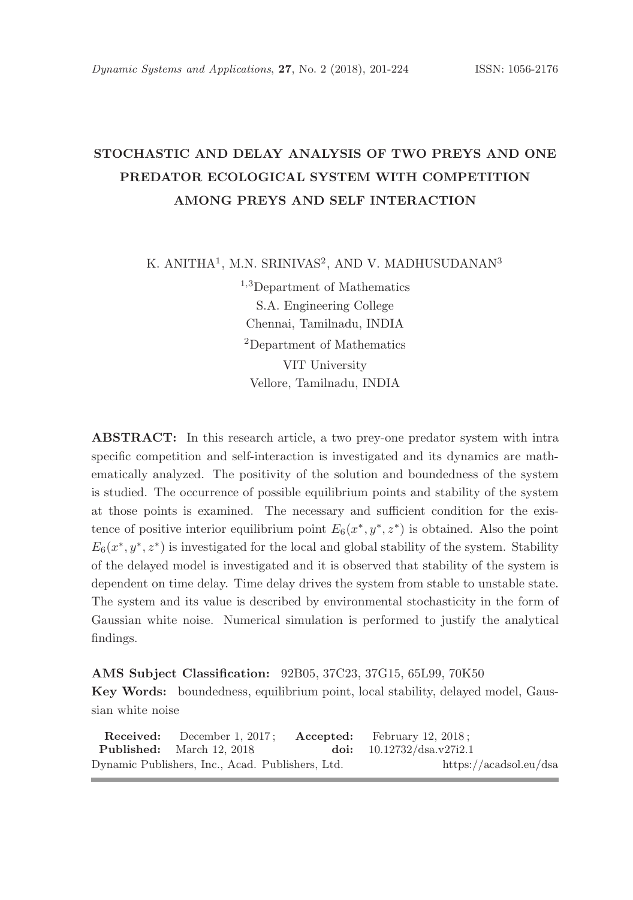# STOCHASTIC AND DELAY ANALYSIS OF TWO PREYS AND ONE PREDATOR ECOLOGICAL SYSTEM WITH COMPETITION AMONG PREYS AND SELF INTERACTION

K. ANITHA<sup>1</sup>, M.N. SRINIVAS<sup>2</sup>, AND V. MADHUSUDANAN<sup>3</sup>

<sup>1</sup>,<sup>3</sup>Department of Mathematics S.A. Engineering College Chennai, Tamilnadu, INDIA <sup>2</sup>Department of Mathematics VIT University Vellore, Tamilnadu, INDIA

ABSTRACT: In this research article, a two prey-one predator system with intra specific competition and self-interaction is investigated and its dynamics are mathematically analyzed. The positivity of the solution and boundedness of the system is studied. The occurrence of possible equilibrium points and stability of the system at those points is examined. The necessary and sufficient condition for the existence of positive interior equilibrium point  $E_6(x^*, y^*, z^*)$  is obtained. Also the point  $E_6(x^*, y^*, z^*)$  is investigated for the local and global stability of the system. Stability of the delayed model is investigated and it is observed that stability of the system is dependent on time delay. Time delay drives the system from stable to unstable state. The system and its value is described by environmental stochasticity in the form of Gaussian white noise. Numerical simulation is performed to justify the analytical findings.

### AMS Subject Classification: 92B05, 37C23, 37G15, 65L99, 70K50

Key Words: boundedness, equilibrium point, local stability, delayed model, Gaussian white noise

Received: December 1, 2017; Accepted: February 12, 2018; Published: March 12, 2018. doi: 10.12732/dsa.v27i2.1 Dynamic Publishers, Inc., Acad. Publishers, Ltd. https://acadsol.eu/dsa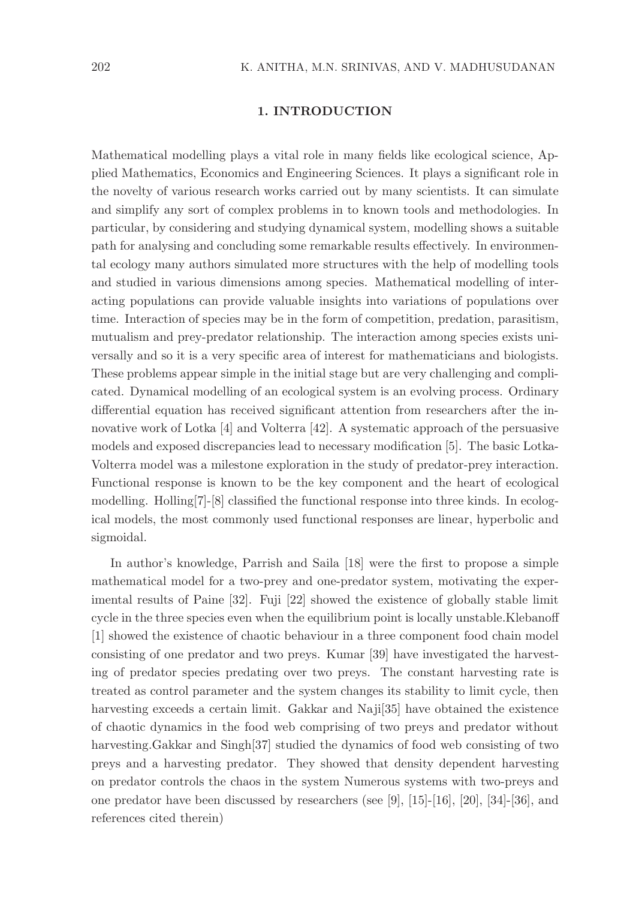### 1. INTRODUCTION

Mathematical modelling plays a vital role in many fields like ecological science, Applied Mathematics, Economics and Engineering Sciences. It plays a significant role in the novelty of various research works carried out by many scientists. It can simulate and simplify any sort of complex problems in to known tools and methodologies. In particular, by considering and studying dynamical system, modelling shows a suitable path for analysing and concluding some remarkable results effectively. In environmental ecology many authors simulated more structures with the help of modelling tools and studied in various dimensions among species. Mathematical modelling of interacting populations can provide valuable insights into variations of populations over time. Interaction of species may be in the form of competition, predation, parasitism, mutualism and prey-predator relationship. The interaction among species exists universally and so it is a very specific area of interest for mathematicians and biologists. These problems appear simple in the initial stage but are very challenging and complicated. Dynamical modelling of an ecological system is an evolving process. Ordinary differential equation has received significant attention from researchers after the innovative work of Lotka [4] and Volterra [42]. A systematic approach of the persuasive models and exposed discrepancies lead to necessary modification [5]. The basic Lotka-Volterra model was a milestone exploration in the study of predator-prey interaction. Functional response is known to be the key component and the heart of ecological modelling. Holling[7]-[8] classified the functional response into three kinds. In ecological models, the most commonly used functional responses are linear, hyperbolic and sigmoidal.

In author's knowledge, Parrish and Saila [18] were the first to propose a simple mathematical model for a two-prey and one-predator system, motivating the experimental results of Paine [32]. Fuji [22] showed the existence of globally stable limit cycle in the three species even when the equilibrium point is locally unstable.Klebanoff [1] showed the existence of chaotic behaviour in a three component food chain model consisting of one predator and two preys. Kumar [39] have investigated the harvesting of predator species predating over two preys. The constant harvesting rate is treated as control parameter and the system changes its stability to limit cycle, then harvesting exceeds a certain limit. Gakkar and Naji[35] have obtained the existence of chaotic dynamics in the food web comprising of two preys and predator without harvesting.Gakkar and Singh[37] studied the dynamics of food web consisting of two preys and a harvesting predator. They showed that density dependent harvesting on predator controls the chaos in the system Numerous systems with two-preys and one predator have been discussed by researchers (see [9], [15]-[16], [20], [34]-[36], and references cited therein)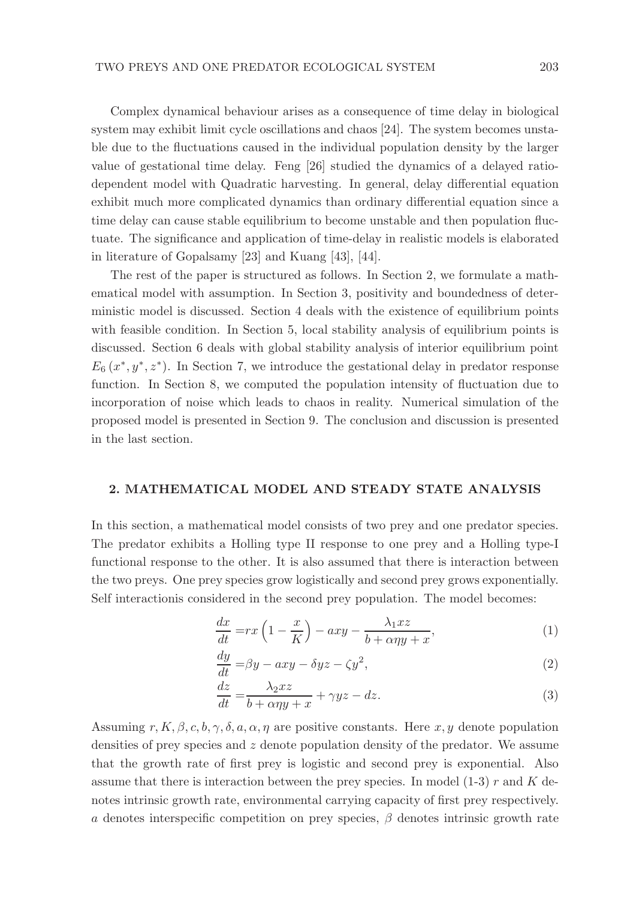Complex dynamical behaviour arises as a consequence of time delay in biological system may exhibit limit cycle oscillations and chaos [24]. The system becomes unstable due to the fluctuations caused in the individual population density by the larger value of gestational time delay. Feng [26] studied the dynamics of a delayed ratiodependent model with Quadratic harvesting. In general, delay differential equation exhibit much more complicated dynamics than ordinary differential equation since a time delay can cause stable equilibrium to become unstable and then population fluctuate. The significance and application of time-delay in realistic models is elaborated in literature of Gopalsamy [23] and Kuang [43], [44].

The rest of the paper is structured as follows. In Section 2, we formulate a mathematical model with assumption. In Section 3, positivity and boundedness of deterministic model is discussed. Section 4 deals with the existence of equilibrium points with feasible condition. In Section 5, local stability analysis of equilibrium points is discussed. Section 6 deals with global stability analysis of interior equilibrium point  $E_6(x^*,y^*,z^*)$ . In Section 7, we introduce the gestational delay in predator response function. In Section 8, we computed the population intensity of fluctuation due to incorporation of noise which leads to chaos in reality. Numerical simulation of the proposed model is presented in Section 9. The conclusion and discussion is presented in the last section.

#### 2. MATHEMATICAL MODEL AND STEADY STATE ANALYSIS

In this section, a mathematical model consists of two prey and one predator species. The predator exhibits a Holling type II response to one prey and a Holling type-I functional response to the other. It is also assumed that there is interaction between the two preys. One prey species grow logistically and second prey grows exponentially. Self interactionis considered in the second prey population. The model becomes:

$$
\frac{dx}{dt} = rx\left(1 - \frac{x}{K}\right) - axy - \frac{\lambda_1 xz}{b + \alpha \eta y + x},\tag{1}
$$

$$
\frac{dy}{dt} = \beta y - axy - \delta yz - \zeta y^2,\tag{2}
$$

$$
\frac{dz}{dt} = \frac{\lambda_2 xz}{b + \alpha \eta y + x} + \gamma yz - dz.
$$
\n(3)

Assuming  $r, K, \beta, c, b, \gamma, \delta, a, \alpha, \eta$  are positive constants. Here  $x, y$  denote population densities of prey species and z denote population density of the predator. We assume that the growth rate of first prey is logistic and second prey is exponential. Also assume that there is interaction between the prey species. In model  $(1-3)$  r and K denotes intrinsic growth rate, environmental carrying capacity of first prey respectively. a denotes interspecific competition on prey species,  $\beta$  denotes intrinsic growth rate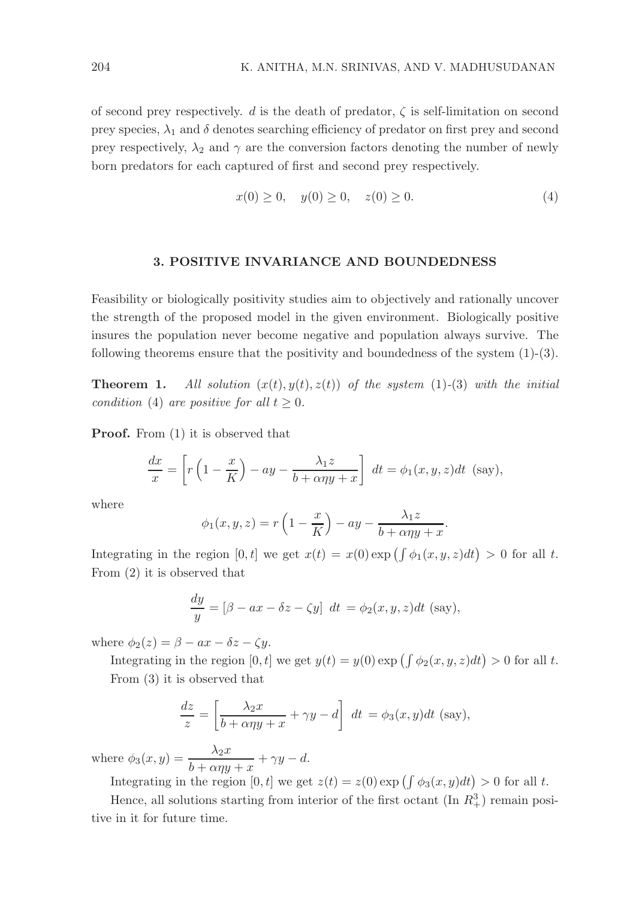of second prey respectively. d is the death of predator,  $\zeta$  is self-limitation on second prey species,  $\lambda_1$  and  $\delta$  denotes searching efficiency of predator on first prey and second prey respectively,  $\lambda_2$  and  $\gamma$  are the conversion factors denoting the number of newly born predators for each captured of first and second prey respectively.

$$
x(0) \ge 0, \quad y(0) \ge 0, \quad z(0) \ge 0. \tag{4}
$$

#### 3. POSITIVE INVARIANCE AND BOUNDEDNESS

Feasibility or biologically positivity studies aim to objectively and rationally uncover the strength of the proposed model in the given environment. Biologically positive insures the population never become negative and population always survive. The following theorems ensure that the positivity and boundedness of the system  $(1)-(3)$ .

**Theorem 1.** All solution  $(x(t), y(t), z(t))$  of the system (1)-(3) with the initial condition (4) are positive for all  $t \geq 0$ .

**Proof.** From  $(1)$  it is observed that

$$
\frac{dx}{x} = \left[ r\left(1 - \frac{x}{K}\right) - ay - \frac{\lambda_1 z}{b + \alpha \eta y + x} \right] dt = \phi_1(x, y, z) dt \text{ (say)},
$$

where

$$
\phi_1(x, y, z) = r\left(1 - \frac{x}{K}\right) - ay - \frac{\lambda_1 z}{b + \alpha \eta y + x}.
$$

Integrating in the region  $[0, t]$  we get  $x(t) = x(0) \exp \left( \int \phi_1(x, y, z) dt \right) > 0$  for all t. From (2) it is observed that

$$
\frac{dy}{y} = [\beta - ax - \delta z - \zeta y] dt = \phi_2(x, y, z) dt
$$
 (say),

where  $\phi_2(z) = \beta - ax - \delta z - \zeta y$ .

Integrating in the region  $[0, t]$  we get  $y(t) = y(0) \exp \left( \int \phi_2(x, y, z) dt \right) > 0$  for all t. From (3) it is observed that

$$
\frac{dz}{z} = \left[\frac{\lambda_2 x}{b + \alpha \eta y + x} + \gamma y - d\right] dt = \phi_3(x, y) dt \text{ (say)},
$$

where  $\phi_3(x, y) = \frac{\lambda_2 x}{b + \alpha \eta y + x} + \gamma y - d.$ 

Integrating in the region  $[0, t]$  we get  $z(t) = z(0) \exp \left( \int \phi_3(x, y) dt \right) > 0$  for all t.

Hence, all solutions starting from interior of the first octant  $(\text{In } R_+^3)$  remain positive in it for future time.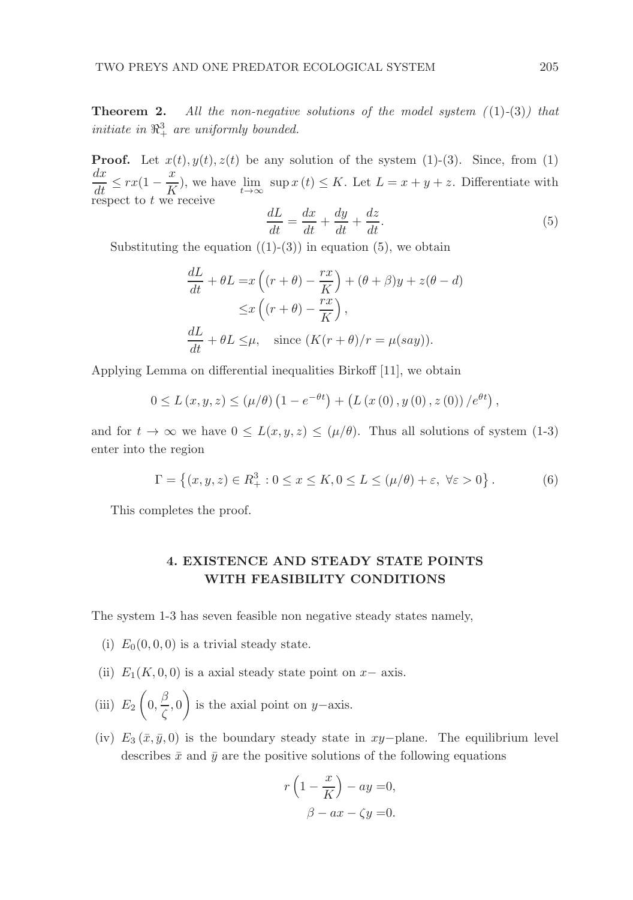**Theorem 2.** All the non-negative solutions of the model system  $(1)-(3)$  that initiate in  $\mathbb{R}^3_+$  are uniformly bounded.

**Proof.** Let  $x(t)$ ,  $y(t)$ ,  $z(t)$  be any solution of the system (1)-(3). Since, from (1)  $\frac{dx}{dt} \leq rx(1 - \frac{x}{K})$  $\frac{X}{K}$ ), we have  $\lim_{t\to\infty}$  sup  $x(t) \leq K$ . Let  $L = x + y + z$ . Differentiate with respect to  $t$  we receive

$$
\frac{dL}{dt} = \frac{dx}{dt} + \frac{dy}{dt} + \frac{dz}{dt}.
$$
\n(5)

Substituting the equation  $((1)-(3))$  in equation  $(5)$ , we obtain

$$
\frac{dL}{dt} + \theta L = x \left( (r + \theta) - \frac{rx}{K} \right) + (\theta + \beta)y + z(\theta - d)
$$

$$
\leq x \left( (r + \theta) - \frac{rx}{K} \right),
$$

$$
\frac{dL}{dt} + \theta L \leq \mu, \quad \text{since } (K(r + \theta)/r = \mu(say)).
$$

Applying Lemma on differential inequalities Birkoff [11], we obtain

$$
0 \le L(x, y, z) \le (\mu/\theta) \left(1 - e^{-\theta t}\right) + \left(L(x(0), y(0), z(0)) / e^{\theta t}\right),
$$

and for  $t \to \infty$  we have  $0 \leq L(x, y, z) \leq (\mu/\theta)$ . Thus all solutions of system (1-3) enter into the region

$$
\Gamma = \left\{ (x, y, z) \in R_+^3 : 0 \le x \le K, 0 \le L \le (\mu/\theta) + \varepsilon, \ \forall \varepsilon > 0 \right\}.
$$
 (6)

This completes the proof.

# 4. EXISTENCE AND STEADY STATE POINTS WITH FEASIBILITY CONDITIONS

The system 1-3 has seven feasible non negative steady states namely,

- (i)  $E_0(0, 0, 0)$  is a trivial steady state.
- (ii)  $E_1(K, 0, 0)$  is a axial steady state point on  $x-$  axis.
- (iii)  $E_2$  $\sqrt{ }$  $0, \frac{\beta}{\zeta}$  $\frac{\epsilon}{\zeta}, 0$  $\setminus$ is the axial point on y−axis.
- (iv)  $E_3(\bar{x}, \bar{y}, 0)$  is the boundary steady state in xy−plane. The equilibrium level describes  $\bar{x}$  and  $\bar{y}$  are the positive solutions of the following equations

$$
r\left(1 - \frac{x}{K}\right) - ay = 0,
$$
  

$$
\beta - ax - \zeta y = 0.
$$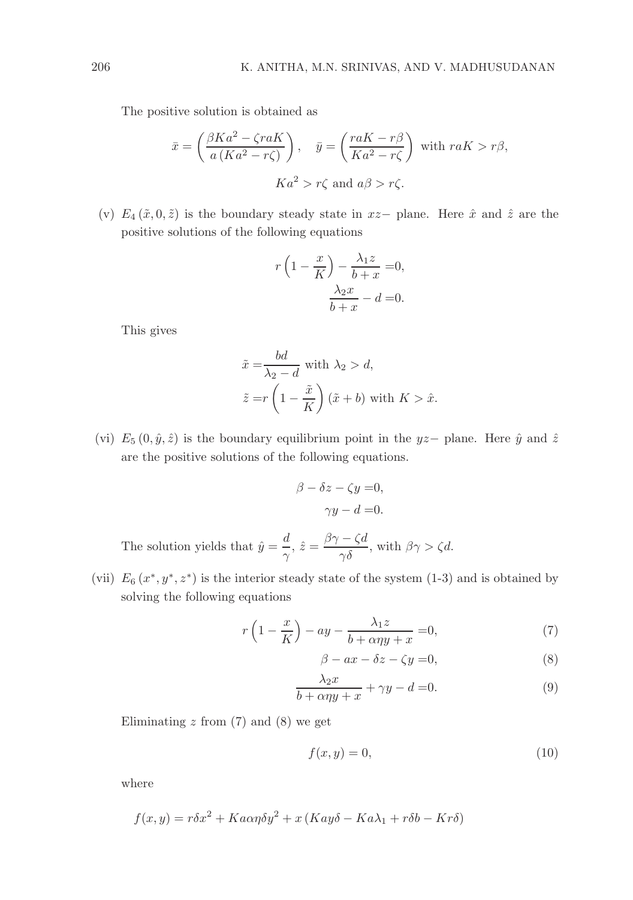The positive solution is obtained as

$$
\bar{x} = \left(\frac{\beta Ka^2 - \zeta r aK}{a(Ka^2 - r\zeta)}\right), \quad \bar{y} = \left(\frac{r aK - r\beta}{Ka^2 - r\zeta}\right) \text{ with } r aK > r\beta,
$$
  

$$
Ka^2 > r\zeta \text{ and } a\beta > r\zeta.
$$

(v)  $E_4(\tilde{x}, 0, \tilde{z})$  is the boundary steady state in  $xz-$  plane. Here  $\hat{x}$  and  $\hat{z}$  are the positive solutions of the following equations

$$
r\left(1-\frac{x}{K}\right) - \frac{\lambda_1 z}{b+x} = 0,
$$

$$
\frac{\lambda_2 x}{b+x} - d = 0.
$$

This gives

$$
\tilde{x} = \frac{bd}{\lambda_2 - d} \text{ with } \lambda_2 > d,
$$
  

$$
\tilde{z} = r \left( 1 - \frac{\tilde{x}}{K} \right) (\tilde{x} + b) \text{ with } K > \hat{x}.
$$

(vi)  $E_5(0, \hat{y}, \hat{z})$  is the boundary equilibrium point in the yz– plane. Here  $\hat{y}$  and  $\hat{z}$ are the positive solutions of the following equations.

$$
\beta - \delta z - \zeta y = 0,
$$
  

$$
\gamma y - d = 0.
$$
  

$$
\beta \gamma - \zeta d
$$

The solution yields that  $\hat{y} = \frac{d}{dx}$  $\frac{d}{\gamma}$ ,  $\hat{z} = \frac{\beta \gamma - \zeta d}{\gamma \delta}$ , with  $\beta \gamma > \zeta d$ .

(vii)  $E_6(x^*, y^*, z^*)$  is the interior steady state of the system (1-3) and is obtained by solving the following equations

$$
r\left(1-\frac{x}{K}\right)-ay-\frac{\lambda_1z}{b+\alpha\eta y+x}=0,\tag{7}
$$

$$
\beta - ax - \delta z - \zeta y = 0,\tag{8}
$$

$$
\frac{\lambda_2 x}{b + \alpha \eta y + x} + \gamma y - d = 0.
$$
 (9)

Eliminating  $z$  from  $(7)$  and  $(8)$  we get

$$
f(x,y) = 0,\t(10)
$$

where

$$
f(x,y) = r\delta x^2 + Ka\alpha\eta \delta y^2 + x(Kay\delta - Ka\lambda_1 + r\delta b - Kr\delta)
$$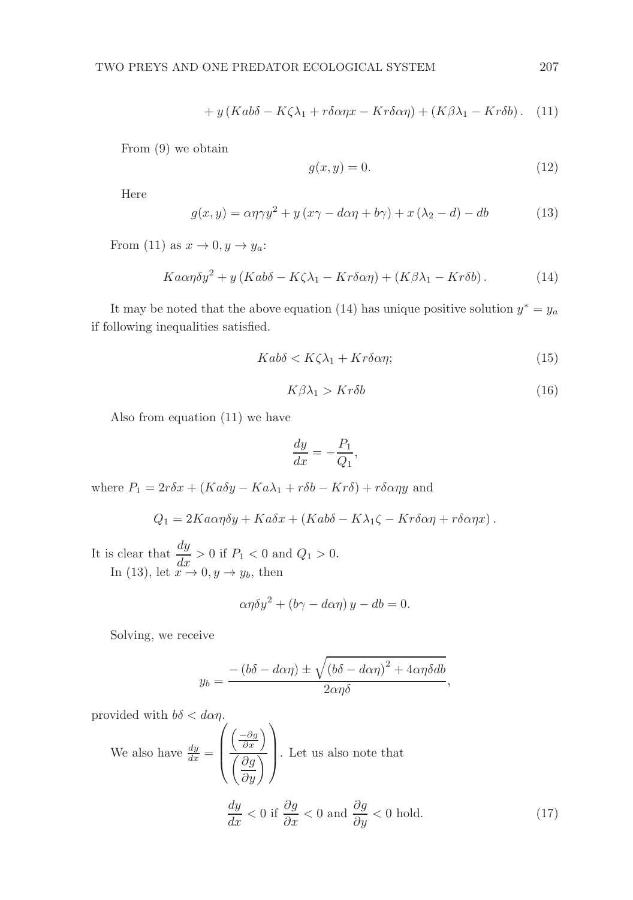$$
+ y (Ka b\delta - K\zeta \lambda_1 + r\delta \alpha \eta x - Kr\delta \alpha \eta) + (K\beta \lambda_1 - Kr\delta b). \quad (11)
$$

From (9) we obtain

$$
g(x, y) = 0.\t(12)
$$

Here

$$
g(x,y) = \alpha \eta \gamma y^2 + y (x\gamma - d\alpha \eta + b\gamma) + x (\lambda_2 - d) - db \tag{13}
$$

From (11) as  $x \to 0, y \to y_a$ :

$$
Ka\alpha\eta\delta y^2 + y\left(Kab\delta - K\zeta\lambda_1 - Kr\delta\alpha\eta\right) + \left(K\beta\lambda_1 - Kr\delta b\right). \tag{14}
$$

It may be noted that the above equation (14) has unique positive solution  $y^* = y_a$ if following inequalities satisfied.

$$
Kab\delta < K\zeta\lambda_1 + Kr\delta\alpha\eta;\tag{15}
$$

$$
K\beta\lambda_1 > Kr\delta b\tag{16}
$$

Also from equation (11) we have

$$
\frac{dy}{dx} = -\frac{P_1}{Q_1},
$$

where  $P_1 = 2r\delta x + (Ka\delta y - Ka\lambda_1 + r\delta b - Kr\delta) + r\delta \alpha \eta y$  and

$$
Q_1 = 2Ka\alpha\eta\delta y + Ka\delta x + (Ka\delta\delta - K\lambda_1\zeta - Kr\delta\alpha\eta + r\delta\alpha\eta x).
$$

It is clear that  $\frac{dy}{dx} > 0$  if  $P_1 < 0$  and  $Q_1 > 0$ . In (13), let  $x \to 0, y \to y_b$ , then

$$
\alpha \eta \delta y^2 + (b\gamma - d\alpha \eta) y - db = 0.
$$

Solving, we receive

$$
y_b = \frac{-\left(b\delta - d\alpha\eta\right) \pm \sqrt{\left(b\delta - d\alpha\eta\right)^2 + 4\alpha\eta\delta db}}{2\alpha\eta\delta},
$$

provided with  $b\delta < d\alpha\eta$ .

We also have 
$$
\frac{dy}{dx} = \left(\frac{\left(-\frac{\partial g}{\partial x}\right)}{\left(\frac{\partial g}{\partial y}\right)}\right)
$$
. Let us also note that  

$$
\frac{dy}{dx} < 0 \text{ if } \frac{\partial g}{\partial x} < 0 \text{ and } \frac{\partial g}{\partial y} < 0 \text{ hold.}
$$
 (17)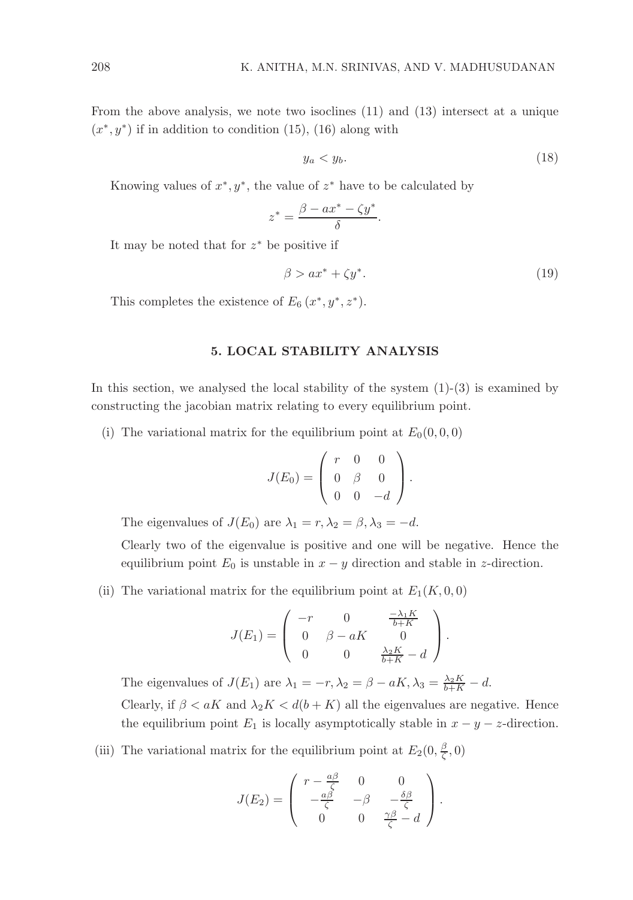From the above analysis, we note two isoclines (11) and (13) intersect at a unique  $(x^*, y^*)$  if in addition to condition (15), (16) along with

$$
y_a < y_b. \tag{18}
$$

Knowing values of  $x^*$ ,  $y^*$ , the value of  $z^*$  have to be calculated by

$$
z^* = \frac{\beta - ax^* - \zeta y^*}{\delta}.
$$

It may be noted that for  $z^*$  be positive if

$$
\beta > ax^* + \zeta y^*.
$$
 (19)

This completes the existence of  $E_6(x^*, y^*, z^*)$ .

#### 5. LOCAL STABILITY ANALYSIS

In this section, we analysed the local stability of the system  $(1)-(3)$  is examined by constructing the jacobian matrix relating to every equilibrium point.

(i) The variational matrix for the equilibrium point at  $E_0(0, 0, 0)$ 

$$
J(E_0) = \left(\begin{array}{rrr} r & 0 & 0 \\ 0 & \beta & 0 \\ 0 & 0 & -d \end{array}\right).
$$

The eigenvalues of  $J(E_0)$  are  $\lambda_1 = r, \lambda_2 = \beta, \lambda_3 = -d$ .

Clearly two of the eigenvalue is positive and one will be negative. Hence the equilibrium point  $E_0$  is unstable in  $x - y$  direction and stable in z-direction.

(ii) The variational matrix for the equilibrium point at  $E_1(K, 0, 0)$ 

$$
J(E_1) = \begin{pmatrix} -r & 0 & \frac{-\lambda_1 K}{b+K} \\ 0 & \beta - aK & 0 \\ 0 & 0 & \frac{\lambda_2 K}{b+K} - d \end{pmatrix}.
$$

The eigenvalues of  $J(E_1)$  are  $\lambda_1 = -r, \lambda_2 = \beta - aK, \lambda_3 = \frac{\lambda_2 K}{b+K} - d$ . Clearly, if  $\beta < aK$  and  $\lambda_2 K < d(b+K)$  all the eigenvalues are negative. Hence the equilibrium point  $E_1$  is locally asymptotically stable in  $x - y - z$ -direction.

(iii) The variational matrix for the equilibrium point at  $E_2(0, \frac{\beta}{\zeta}, 0)$ 

$$
J(E_2) = \begin{pmatrix} r - \frac{a\beta}{\zeta} & 0 & 0 \\ -\frac{a\beta}{\zeta} & -\beta & -\frac{\delta\beta}{\zeta} \\ 0 & 0 & \frac{\gamma\beta}{\zeta} - d \end{pmatrix}.
$$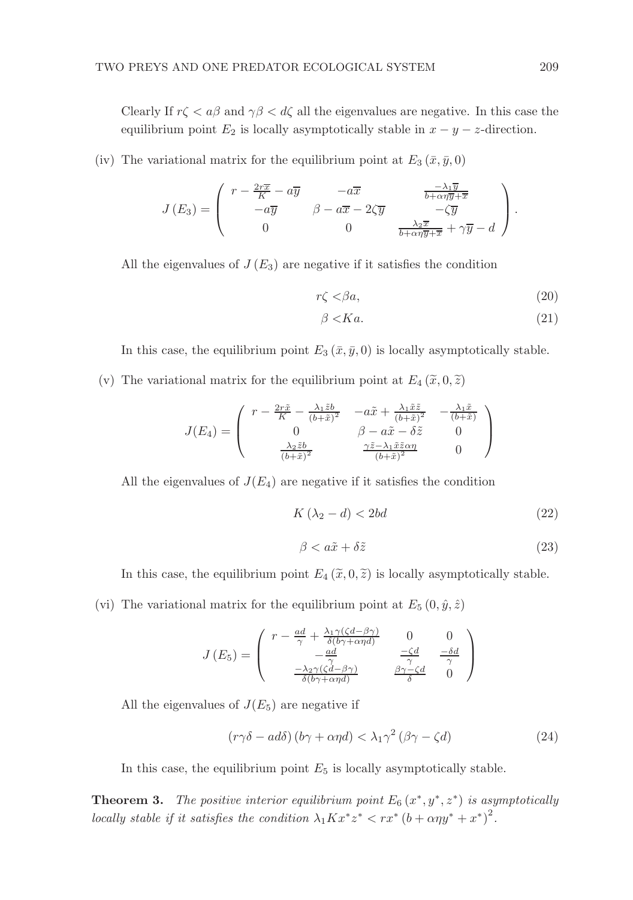Clearly If  $r\zeta < a\beta$  and  $\gamma\beta < d\zeta$  all the eigenvalues are negative. In this case the equilibrium point  $E_2$  is locally asymptotically stable in  $x - y - z$ -direction.

(iv) The variational matrix for the equilibrium point at  $E_3(\bar{x}, \bar{y}, 0)$ 

$$
J(E_3) = \begin{pmatrix} r - \frac{2r\overline{x}}{K} - a\overline{y} & -a\overline{x} & \frac{-\lambda_1\overline{y}}{b + \alpha\eta\overline{y} + \overline{x}} \\ -a\overline{y} & \beta - a\overline{x} - 2\zeta\overline{y} & -\zeta\overline{y} \\ 0 & 0 & \frac{\lambda_2\overline{x}}{b + \alpha\eta\overline{y} + \overline{x}} + \gamma\overline{y} - d \end{pmatrix}.
$$

All the eigenvalues of  $J(E_3)$  are negative if it satisfies the condition

$$
r\zeta < \beta a,\tag{20}
$$

$$
\beta < Ka.\tag{21}
$$

In this case, the equilibrium point  $E_3(\bar{x}, \bar{y}, 0)$  is locally asymptotically stable.

(v) The variational matrix for the equilibrium point at  $E_4(\tilde{x},0,\tilde{z})$ 

$$
J(E_4) = \begin{pmatrix} r - \frac{2r\tilde{x}}{K} - \frac{\lambda_1 \tilde{z}b}{(b+\tilde{x})^2} & -a\tilde{x} + \frac{\lambda_1 \tilde{x}\tilde{z}}{(b+\tilde{x})^2} & -\frac{\lambda_1 \tilde{x}}{(b+\tilde{x})} \\ 0 & \beta - a\tilde{x} - \delta \tilde{z} & 0 \\ \frac{\lambda_2 \tilde{z}b}{(b+\tilde{x})^2} & \frac{\gamma \tilde{z} - \lambda_1 \tilde{x}\tilde{z} \alpha \eta}{(b+\tilde{x})^2} & 0 \end{pmatrix}
$$

All the eigenvalues of  $J(E_4)$  are negative if it satisfies the condition

$$
K\left(\lambda_2 - d\right) < 2bd\tag{22}
$$

$$
\beta < a\tilde{x} + \delta\tilde{z} \tag{23}
$$

In this case, the equilibrium point  $E_4(\tilde{x}, 0, \tilde{z})$  is locally asymptotically stable.

(vi) The variational matrix for the equilibrium point at  $E_5(0, \hat{y}, \hat{z})$ 

$$
J(E_5) = \begin{pmatrix} r - \frac{ad}{\gamma} + \frac{\lambda_1 \gamma \left(\zeta d - \beta \gamma\right)}{\delta(b\gamma + \alpha \eta d)} & 0 & 0\\ -\frac{ad}{\delta(b\gamma + \alpha \eta d)} & \frac{-\zeta d}{\gamma} & \frac{-\delta d}{\gamma} \\ -\frac{\lambda_2 \gamma \left(\zeta d - \beta \gamma\right)}{\delta(b\gamma + \alpha \eta d)} & \frac{\beta \gamma - \zeta d}{\delta} & 0 \end{pmatrix}
$$

All the eigenvalues of  $J(E_5)$  are negative if

$$
\left(r\gamma\delta - ad\delta\right)\left(b\gamma + \alpha\eta d\right) < \lambda_1\gamma^2 \left(\beta\gamma - \zeta d\right) \tag{24}
$$

In this case, the equilibrium point  $E_5$  is locally asymptotically stable.

**Theorem 3.** The positive interior equilibrium point  $E_6(x^*, y^*, z^*)$  is asymptotically locally stable if it satisfies the condition  $\lambda_1 K x^* z^* < r x^* (b + \alpha \eta y^* + x^*)^2$ .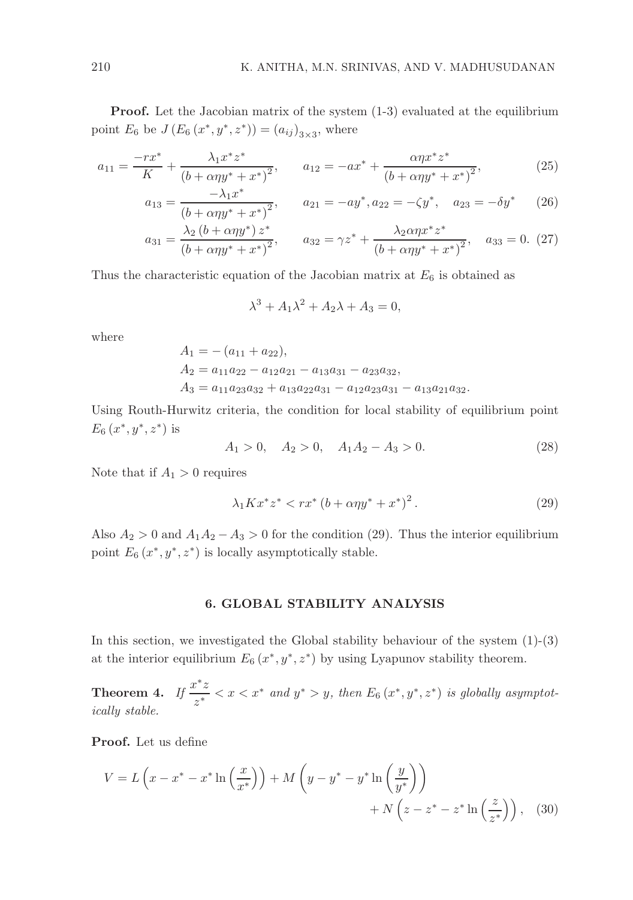**Proof.** Let the Jacobian matrix of the system  $(1-3)$  evaluated at the equilibrium point  $E_6$  be  $J(E_6(x^*, y^*, z^*)) = (a_{ij})_{3 \times 3}$ , where

$$
a_{11} = \frac{-rx^*}{K} + \frac{\lambda_1 x^* z^*}{(b + \alpha \eta y^* + x^*)^2}, \qquad a_{12} = -ax^* + \frac{\alpha \eta x^* z^*}{(b + \alpha \eta y^* + x^*)^2},
$$
(25)

$$
a_{13} = \frac{-\lambda_1 x^*}{(b + \alpha \eta y^* + x^*)^2}, \qquad a_{21} = -ay^*, a_{22} = -\zeta y^*, \quad a_{23} = -\delta y^* \tag{26}
$$

$$
a_{31} = \frac{\lambda_2 (b + \alpha \eta y^*) z^*}{(b + \alpha \eta y^* + x^*)^2}, \qquad a_{32} = \gamma z^* + \frac{\lambda_2 \alpha \eta x^* z^*}{(b + \alpha \eta y^* + x^*)^2}, \quad a_{33} = 0. \tag{27}
$$

Thus the characteristic equation of the Jacobian matrix at  $E_6$  is obtained as

$$
\lambda^3 + A_1 \lambda^2 + A_2 \lambda + A_3 = 0,
$$

where

$$
A_1 = -(a_{11} + a_{22}),
$$
  
\n
$$
A_2 = a_{11}a_{22} - a_{12}a_{21} - a_{13}a_{31} - a_{23}a_{32},
$$
  
\n
$$
A_3 = a_{11}a_{23}a_{32} + a_{13}a_{22}a_{31} - a_{12}a_{23}a_{31} - a_{13}a_{21}a_{32}.
$$

Using Routh-Hurwitz criteria, the condition for local stability of equilibrium point  $E_6(x^*, y^*, z^*)$  is

$$
A_1 > 0, \quad A_2 > 0, \quad A_1 A_2 - A_3 > 0. \tag{28}
$$

Note that if  $A_1 > 0$  requires

$$
\lambda_1 K x^* z^* < rx^* \left( b + \alpha \eta y^* + x^* \right)^2. \tag{29}
$$

Also  $A_2 > 0$  and  $A_1A_2 - A_3 > 0$  for the condition (29). Thus the interior equilibrium point  $E_6(x^*, y^*, z^*)$  is locally asymptotically stable.

#### 6. GLOBAL STABILITY ANALYSIS

In this section, we investigated the Global stability behaviour of the system (1)-(3) at the interior equilibrium  $E_6(x^*, y^*, z^*)$  by using Lyapunov stability theorem.

Theorem 4. If  $\frac{x^*z}{z}$  $\frac{y \cdot z}{z^*} < x < x^*$  and  $y^* > y$ , then  $E_6(x^*, y^*, z^*)$  is globally asymptotically stable.

Proof. Let us define

$$
V = L\left(x - x^* - x^* \ln\left(\frac{x}{x^*}\right)\right) + M\left(y - y^* - y^* \ln\left(\frac{y}{y^*}\right)\right) + N\left(z - z^* - z^* \ln\left(\frac{z}{z^*}\right)\right), \quad (30)
$$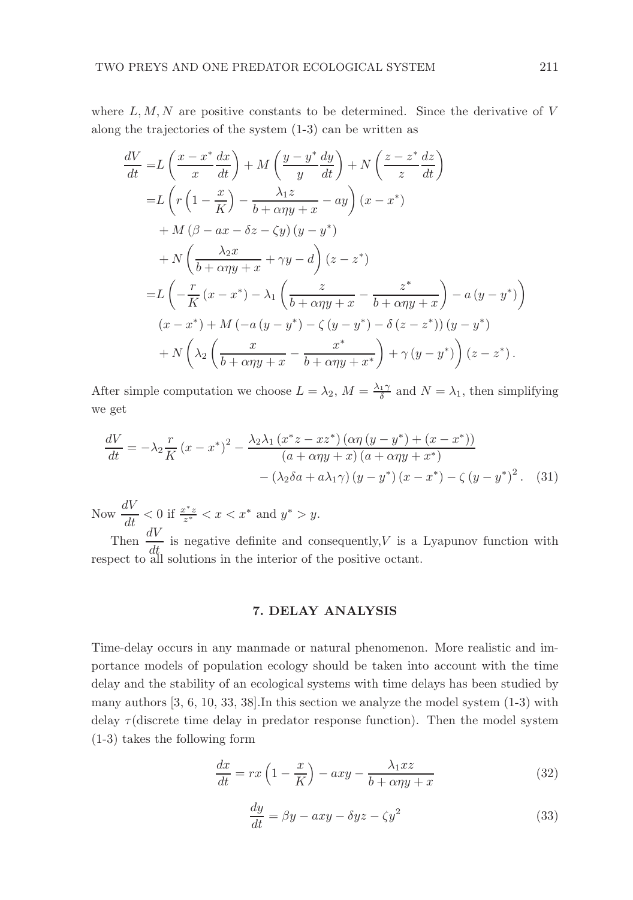where  $L, M, N$  are positive constants to be determined. Since the derivative of V along the trajectories of the system (1-3) can be written as

$$
\frac{dV}{dt} = L\left(\frac{x - x^*}{x} \frac{dx}{dt}\right) + M\left(\frac{y - y^*}{y} \frac{dy}{dt}\right) + N\left(\frac{z - z^*}{z} \frac{dz}{dt}\right)
$$
\n
$$
= L\left(r\left(1 - \frac{x}{K}\right) - \frac{\lambda_1 z}{b + \alpha \eta y + x} - ay\right)(x - x^*)
$$
\n
$$
+ M\left(\beta - ax - \delta z - \zeta y\right)(y - y^*)
$$
\n
$$
+ N\left(\frac{\lambda_2 x}{b + \alpha \eta y + x} + \gamma y - d\right)(z - z^*)
$$
\n
$$
= L\left(-\frac{r}{K}\left(x - x^*\right) - \lambda_1\left(\frac{z}{b + \alpha \eta y + x} - \frac{z^*}{b + \alpha \eta y + x}\right) - a\left(y - y^*\right)\right)
$$
\n
$$
(x - x^*) + M\left(-a\left(y - y^*\right) - \zeta\left(y - y^*\right) - \delta\left(z - z^*\right)\right)(y - y^*)
$$
\n
$$
+ N\left(\lambda_2\left(\frac{x}{b + \alpha \eta y + x} - \frac{x^*}{b + \alpha \eta y + x^*}\right) + \gamma\left(y - y^*\right)\right)(z - z^*).
$$

After simple computation we choose  $L = \lambda_2$ ,  $M = \frac{\lambda_1 \gamma}{\delta}$  and  $N = \lambda_1$ , then simplifying we get

$$
\frac{dV}{dt} = -\lambda_2 \frac{r}{K} (x - x^*)^2 - \frac{\lambda_2 \lambda_1 (x^* z - x z^*) (\alpha \eta (y - y^*) + (x - x^*))}{(a + \alpha \eta y + x) (a + \alpha \eta y + x^*)}
$$

$$
- (\lambda_2 \delta a + a \lambda_1 \gamma) (y - y^*) (x - x^*) - \zeta (y - y^*)^2. \tag{31}
$$

Now  $\frac{dV}{dt} < 0$  if  $\frac{x^*z}{z^*} < x < x^*$  and  $y^* > y$ .

Then  $\frac{dV}{dt}$  is negative definite and consequently, V is a Lyapunov function with respect to all solutions in the interior of the positive octant.

## 7. DELAY ANALYSIS

Time-delay occurs in any manmade or natural phenomenon. More realistic and importance models of population ecology should be taken into account with the time delay and the stability of an ecological systems with time delays has been studied by many authors [3, 6, 10, 33, 38].In this section we analyze the model system (1-3) with delay  $\tau$  (discrete time delay in predator response function). Then the model system (1-3) takes the following form

$$
\frac{dx}{dt} = rx\left(1 - \frac{x}{K}\right) - axy - \frac{\lambda_1 xz}{b + \alpha\eta y + x} \tag{32}
$$

$$
\frac{dy}{dt} = \beta y - axy - \delta yz - \zeta y^2 \tag{33}
$$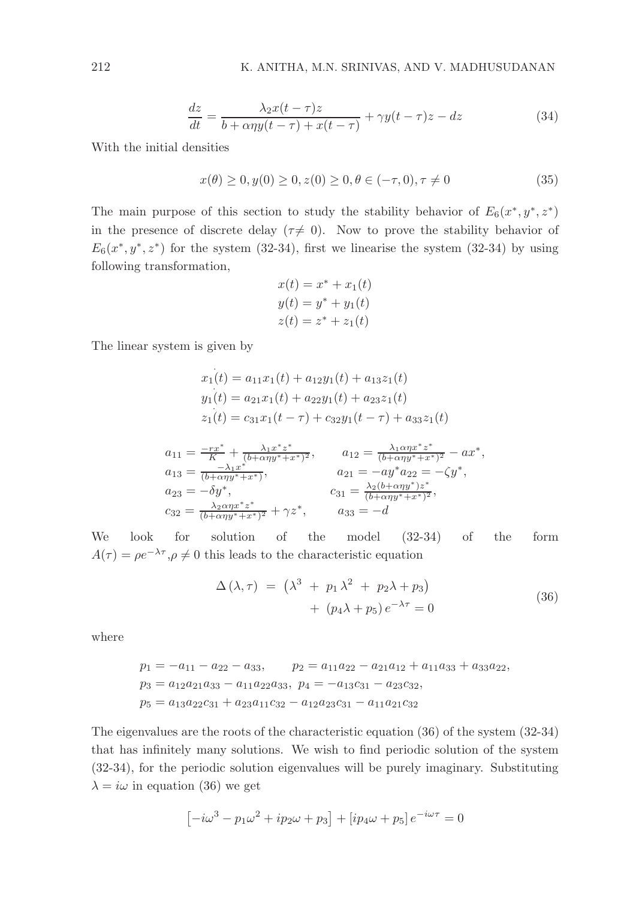$$
\frac{dz}{dt} = \frac{\lambda_2 x(t-\tau)z}{b + \alpha \eta y(t-\tau) + x(t-\tau)} + \gamma y(t-\tau)z - dz \tag{34}
$$

With the initial densities

 $x(\theta) > 0, y(0) > 0, z(0) > 0, \theta \in (-\tau, 0), \tau \neq 0$  (35)

The main purpose of this section to study the stability behavior of  $E_6(x^*, y^*, z^*)$ in the presence of discrete delay ( $\tau \neq 0$ ). Now to prove the stability behavior of  $E_6(x^*, y^*, z^*)$  for the system (32-34), first we linearise the system (32-34) by using following transformation,

$$
x(t) = x^* + x_1(t)
$$
  

$$
y(t) = y^* + y_1(t)
$$
  

$$
z(t) = z^* + z_1(t)
$$

The linear system is given by

$$
x_1(t) = a_{11}x_1(t) + a_{12}y_1(t) + a_{13}z_1(t)
$$
  
\n
$$
y_1(t) = a_{21}x_1(t) + a_{22}y_1(t) + a_{23}z_1(t)
$$
  
\n
$$
z_1(t) = c_{31}x_1(t - \tau) + c_{32}y_1(t - \tau) + a_{33}z_1(t)
$$
  
\n
$$
a_{11} = \frac{-rx^*}{K} + \frac{\lambda_1x^*z^*}{(b+\alpha\eta y^*+x^*)^2}, \qquad a_{12} = \frac{\lambda_1\alpha\eta x^*z^*}{(b+\alpha\eta y^*+x^*)^2} - ax^*,
$$
  
\n
$$
a_{13} = \frac{-\lambda_1x^*}{(b+\alpha\eta y^*+x^*)}, \qquad a_{21} = -ay^*a_{22} = -\zeta y^*,
$$
  
\n
$$
a_{23} = -\delta y^*, \qquad c_{31} = \frac{\lambda_2(b+\alpha\eta y^*)z^*}{(b+\alpha\eta y^*+x^*)^2},
$$
  
\n
$$
c_{32} = \frac{\lambda_2\alpha\eta x^*z^*}{(b+\alpha\eta y^*+x^*)^2} + \gamma z^*, \qquad a_{33} = -d
$$

We look for solution of the model (32-34) of the form  $A(\tau) = \rho e^{-\lambda \tau}, \rho \neq 0$  this leads to the characteristic equation

$$
\Delta(\lambda, \tau) = (\lambda^3 + p_1 \lambda^2 + p_2 \lambda + p_3) + (p_4 \lambda + p_5) e^{-\lambda \tau} = 0
$$
\n(36)

where

$$
p_1 = -a_{11} - a_{22} - a_{33}, \qquad p_2 = a_{11}a_{22} - a_{21}a_{12} + a_{11}a_{33} + a_{33}a_{22},
$$
  
\n
$$
p_3 = a_{12}a_{21}a_{33} - a_{11}a_{22}a_{33}, \quad p_4 = -a_{13}c_{31} - a_{23}c_{32},
$$
  
\n
$$
p_5 = a_{13}a_{22}c_{31} + a_{23}a_{11}c_{32} - a_{12}a_{23}c_{31} - a_{11}a_{21}c_{32}
$$

The eigenvalues are the roots of the characteristic equation (36) of the system (32-34) that has infinitely many solutions. We wish to find periodic solution of the system (32-34), for the periodic solution eigenvalues will be purely imaginary. Substituting  $\lambda = i\omega$  in equation (36) we get

$$
\left[-i\omega^3-p_1\omega^2+ip_2\omega+p_3\right]+\left[i p_4\omega+p_5\right]e^{-i\omega\tau}=0
$$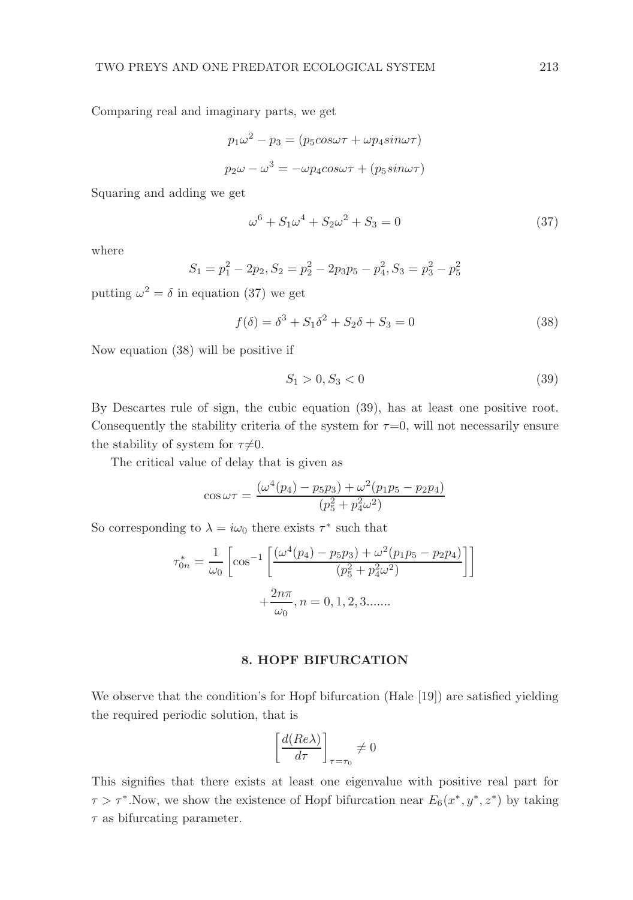Comparing real and imaginary parts, we get

$$
p_1\omega^2 - p_3 = (p_5 \cos \omega \tau + \omega p_4 \sin \omega \tau)
$$

$$
p_2\omega - \omega^3 = -\omega p_4 \cos \omega \tau + (p_5 \sin \omega \tau)
$$

Squaring and adding we get

$$
\omega^6 + S_1 \omega^4 + S_2 \omega^2 + S_3 = 0 \tag{37}
$$

where

$$
S_1 = p_1^2 - 2p_2, S_2 = p_2^2 - 2p_3p_5 - p_4^2, S_3 = p_3^2 - p_5^2
$$

putting  $\omega^2 = \delta$  in equation (37) we get

$$
f(\delta) = \delta^3 + S_1 \delta^2 + S_2 \delta + S_3 = 0
$$
\n(38)

Now equation (38) will be positive if

$$
S_1 > 0, S_3 < 0 \tag{39}
$$

By Descartes rule of sign, the cubic equation (39), has at least one positive root. Consequently the stability criteria of the system for  $\tau=0$ , will not necessarily ensure the stability of system for  $\tau\neq0$ .

The critical value of delay that is given as

$$
\cos \omega \tau = \frac{(\omega^4 (p_4) - p_5 p_3) + \omega^2 (p_1 p_5 - p_2 p_4)}{(p_5^2 + p_4^2 \omega^2)}
$$

So corresponding to  $\lambda = i\omega_0$  there exists  $\tau^*$  such that

$$
\tau_{0n}^* = \frac{1}{\omega_0} \left[ \cos^{-1} \left[ \frac{(\omega^4 (p_4) - p_5 p_3) + \omega^2 (p_1 p_5 - p_2 p_4)}{(p_5^2 + p_4^2 \omega^2)} \right] + \frac{2n\pi}{\omega_0}, n = 0, 1, 2, 3 \dots
$$

#### 8. HOPF BIFURCATION

We observe that the condition's for Hopf bifurcation (Hale [19]) are satisfied yielding the required periodic solution, that is

$$
\left[\frac{d(Re\lambda)}{d\tau}\right]_{\tau=\tau_0} \neq 0
$$

This signifies that there exists at least one eigenvalue with positive real part for  $\tau > \tau^*$ . Now, we show the existence of Hopf bifurcation near  $E_6(x^*, y^*, z^*)$  by taking  $\tau$  as bifurcating parameter.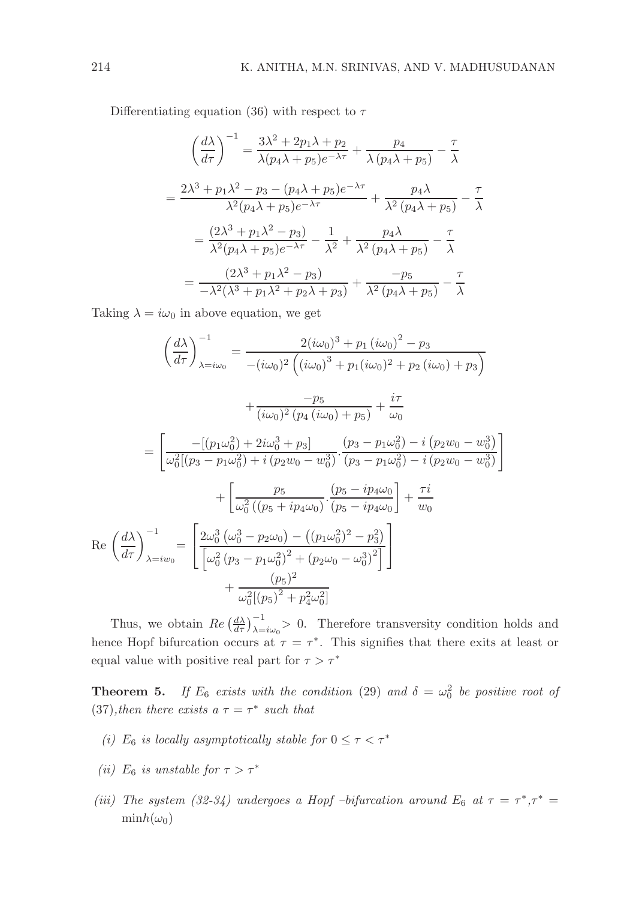Differentiating equation (36) with respect to  $\tau$ 

$$
\left(\frac{d\lambda}{d\tau}\right)^{-1} = \frac{3\lambda^2 + 2p_1\lambda + p_2}{\lambda(p_4\lambda + p_5)e^{-\lambda\tau}} + \frac{p_4}{\lambda(p_4\lambda + p_5)} - \frac{\tau}{\lambda}
$$

$$
= \frac{2\lambda^3 + p_1\lambda^2 - p_3 - (p_4\lambda + p_5)e^{-\lambda\tau}}{\lambda^2(p_4\lambda + p_5)e^{-\lambda\tau}} + \frac{p_4\lambda}{\lambda^2(p_4\lambda + p_5)} - \frac{\tau}{\lambda}
$$

$$
= \frac{(2\lambda^3 + p_1\lambda^2 - p_3)}{\lambda^2(p_4\lambda + p_5)e^{-\lambda\tau}} - \frac{1}{\lambda^2} + \frac{p_4\lambda}{\lambda^2(p_4\lambda + p_5)} - \frac{\tau}{\lambda}
$$

$$
= \frac{(2\lambda^3 + p_1\lambda^2 - p_3)}{-\lambda^2(\lambda^3 + p_1\lambda^2 + p_2\lambda + p_3)} + \frac{-p_5}{\lambda^2(p_4\lambda + p_5)} - \frac{\tau}{\lambda}
$$

Taking  $\lambda = i\omega_0$  in above equation, we get

$$
\left(\frac{d\lambda}{d\tau}\right)^{-1}_{\lambda=i\omega_{0}} = \frac{2(i\omega_{0})^{3} + p_{1}(i\omega_{0})^{2} - p_{3}}{- (i\omega_{0})^{2}\left((i\omega_{0})^{3} + p_{1}(i\omega_{0})^{2} + p_{2}(i\omega_{0}) + p_{3}\right)}
$$
\n
$$
+ \frac{-p_{5}}{(i\omega_{0})^{2}\left(p_{4}(i\omega_{0}) + p_{5}\right)} + \frac{i\tau}{\omega_{0}}
$$
\n
$$
= \left[\frac{-[(p_{1}\omega_{0}^{2}) + 2i\omega_{0}^{3} + p_{3}]}{\omega_{0}^{2}[(p_{3} - p_{1}\omega_{0}^{2}) + i(p_{2}w_{0} - w_{0}^{3})} \cdot \frac{(p_{3} - p_{1}\omega_{0}^{2}) - i(p_{2}w_{0} - w_{0}^{3})}{(p_{3} - p_{1}\omega_{0}^{2}) - i(p_{2}w_{0} - w_{0}^{3})}\right]
$$
\n
$$
+ \left[\frac{p_{5}}{\omega_{0}^{2}((p_{5} + ip_{4}\omega_{0})} \cdot \frac{(p_{5} - ip_{4}\omega_{0})}{(p_{5} - ip_{4}\omega_{0})} + \frac{\tau i}{w_{0}}
$$
\n
$$
Re\left(\frac{d\lambda}{d\tau}\right)^{-1}_{\lambda=iw_{0}} = \left[\frac{2\omega_{0}^{3}\left(\omega_{0}^{3} - p_{2}\omega_{0}\right) - \left((p_{1}\omega_{0}^{2})^{2} - p_{3}^{2}\right)}{\left[\omega_{0}^{2}\left(p_{3} - p_{1}\omega_{0}^{2}\right)^{2} + (p_{2}\omega_{0} - \omega_{0}^{3})^{2}\right]}\right]
$$
\n
$$
+ \frac{(p_{5})^{2}}{\omega_{0}^{2}[(p_{5})^{2} + p_{4}^{2}\omega_{0}^{2}]}
$$

Thus, we obtain  $Re\left(\frac{d\lambda}{d\tau}\right)_{\lambda=i\omega_0}^{-1} > 0$ . Therefore transversity condition holds and hence Hopf bifurcation occurs at  $\tau = \tau^*$ . This signifies that there exits at least or equal value with positive real part for  $\tau > \tau^*$ 

**Theorem 5.** If  $E_6$  exists with the condition (29) and  $\delta = \omega_0^2$  be positive root of (37), then there exists  $a \tau = \tau^*$  such that

- (i)  $E_6$  is locally asymptotically stable for  $0 \leq \tau < \tau^*$
- (ii)  $E_6$  is unstable for  $\tau > \tau^*$
- (iii) The system (32-34) undergoes a Hopf -bifurcation around  $E_6$  at  $\tau = \tau^*, \tau^* =$  $\minh(\omega_0)$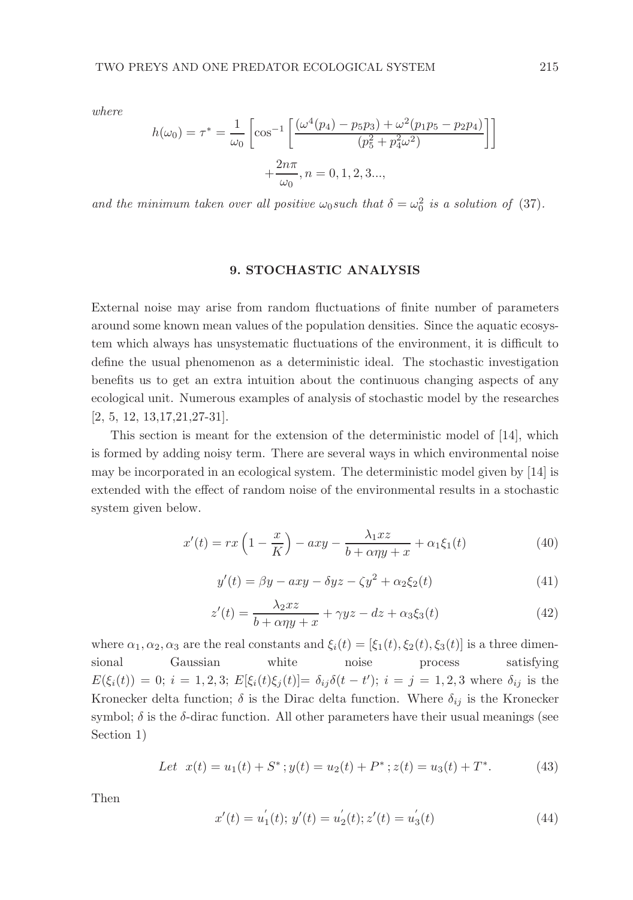where

$$
h(\omega_0) = \tau^* = \frac{1}{\omega_0} \left[ \cos^{-1} \left[ \frac{(\omega^4(p_4) - p_5p_3) + \omega^2(p_1p_5 - p_2p_4)}{(p_5^2 + p_4^2\omega^2)} \right] + \frac{2n\pi}{\omega_0}, n = 0, 1, 2, 3...
$$

and the minimum taken over all positive  $\omega_0$ such that  $\delta = \omega_0^2$  is a solution of (37).

#### 9. STOCHASTIC ANALYSIS

External noise may arise from random fluctuations of finite number of parameters around some known mean values of the population densities. Since the aquatic ecosystem which always has unsystematic fluctuations of the environment, it is difficult to define the usual phenomenon as a deterministic ideal. The stochastic investigation benefits us to get an extra intuition about the continuous changing aspects of any ecological unit. Numerous examples of analysis of stochastic model by the researches [2, 5, 12, 13,17,21,27-31].

This section is meant for the extension of the deterministic model of [14], which is formed by adding noisy term. There are several ways in which environmental noise may be incorporated in an ecological system. The deterministic model given by [14] is extended with the effect of random noise of the environmental results in a stochastic system given below.

$$
x'(t) = rx\left(1 - \frac{x}{K}\right) - axy - \frac{\lambda_1 xz}{b + \alpha \eta y + x} + \alpha_1 \xi_1(t)
$$
\n
$$
\tag{40}
$$

$$
y'(t) = \beta y - axy - \delta yz - \zeta y^2 + \alpha_2 \xi_2(t)
$$
\n(41)

$$
z'(t) = \frac{\lambda_2 xz}{b + \alpha \eta y + x} + \gamma yz - dz + \alpha_3 \xi_3(t)
$$
\n(42)

where  $\alpha_1, \alpha_2, \alpha_3$  are the real constants and  $\xi_i(t) = [\xi_1(t), \xi_2(t), \xi_3(t)]$  is a three dimensional Gaussian white noise process satisfying  $E(\xi_i(t)) = 0; i = 1, 2, 3; E[\xi_i(t)\xi_j(t)] = \delta_{ij}\delta(t-t'); i = j = 1, 2, 3$  where  $\delta_{ij}$  is the Kronecker delta function;  $\delta$  is the Dirac delta function. Where  $\delta_{ij}$  is the Kronecker symbol;  $\delta$  is the  $\delta$ -dirac function. All other parameters have their usual meanings (see Section 1)

Let 
$$
x(t) = u_1(t) + S^*
$$
;  $y(t) = u_2(t) + P^*$ ;  $z(t) = u_3(t) + T^*$ . (43)

Then

$$
x'(t) = u'_1(t); y'(t) = u'_2(t); z'(t) = u'_3(t)
$$
\n(44)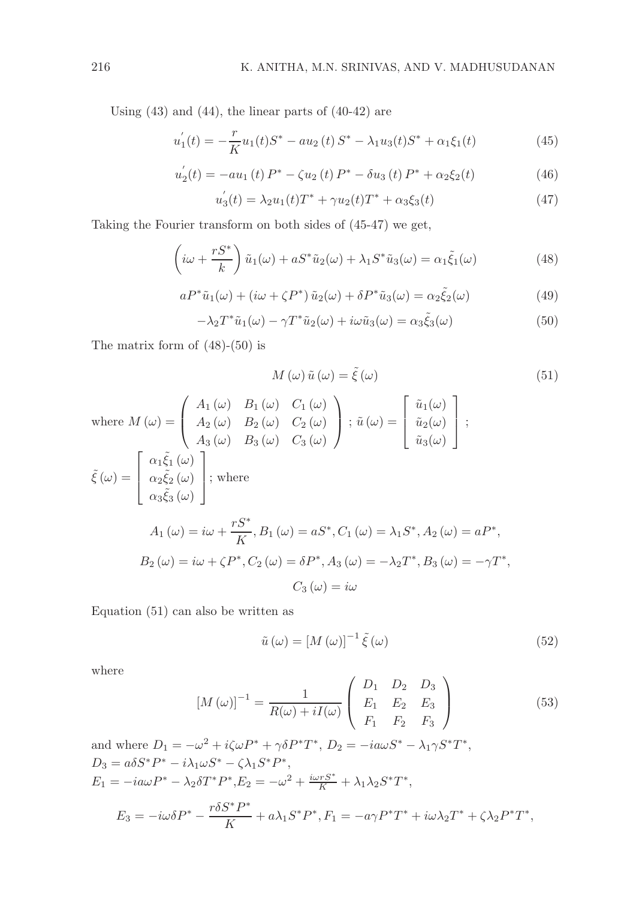Using  $(43)$  and  $(44)$ , the linear parts of  $(40-42)$  are

$$
u_1'(t) = -\frac{r}{K}u_1(t)S^* - au_2(t)S^* - \lambda_1 u_3(t)S^* + \alpha_1 \xi_1(t)
$$
\n(45)

$$
u_2'(t) = -au_1(t) P^* - \zeta u_2(t) P^* - \delta u_3(t) P^* + \alpha_2 \xi_2(t)
$$
\n(46)

$$
u_3'(t) = \lambda_2 u_1(t) T^* + \gamma u_2(t) T^* + \alpha_3 \xi_3(t)
$$
\n(47)

Taking the Fourier transform on both sides of (45-47) we get,

$$
\left(i\omega + \frac{rS^*}{k}\right)\tilde{u}_1(\omega) + aS^*\tilde{u}_2(\omega) + \lambda_1S^*\tilde{u}_3(\omega) = \alpha_1\tilde{\xi}_1(\omega) \tag{48}
$$

$$
aP^*\tilde{u}_1(\omega) + (i\omega + \zeta P^*)\tilde{u}_2(\omega) + \delta P^*\tilde{u}_3(\omega) = \alpha_2 \tilde{\xi}_2(\omega)
$$
\n(49)

$$
-\lambda_2 T^* \tilde{u}_1(\omega) - \gamma T^* \tilde{u}_2(\omega) + i\omega \tilde{u}_3(\omega) = \alpha_3 \tilde{\xi}_3(\omega)
$$
\n(50)

The matrix form of (48)-(50) is

$$
M(\omega) \tilde{u}(\omega) = \tilde{\xi}(\omega)
$$
\nwhere\n
$$
M(\omega) = \begin{pmatrix} A_1(\omega) & B_1(\omega) & C_1(\omega) \\ A_2(\omega) & B_2(\omega) & C_2(\omega) \\ A_3(\omega) & B_3(\omega) & C_3(\omega) \end{pmatrix}; \tilde{u}(\omega) = \begin{bmatrix} \tilde{u}_1(\omega) \\ \tilde{u}_2(\omega) \\ \tilde{u}_3(\omega) \end{bmatrix};
$$
\n
$$
\tilde{\xi}(\omega) = \begin{bmatrix} \alpha_1 \tilde{\xi}_1(\omega) \\ \alpha_2 \tilde{\xi}_2(\omega) \\ \alpha_3 \tilde{\xi}_3(\omega) \end{bmatrix}; \text{ where}
$$
\n
$$
A_1(\omega) = i\omega + \frac{rS^*}{K}, B_1(\omega) = aS^*, C_1(\omega) = \lambda_1 S^*, A_2(\omega) = aP^*,
$$
\n
$$
B_2(\omega) = i\omega + \zeta P^*, C_2(\omega) = \delta P^*, A_3(\omega) = -\lambda_2 T^*, B_3(\omega) = -\gamma T^*,
$$
\n
$$
C_3(\omega) = i\omega
$$
\n(6.11)

Equation (51) can also be written as

$$
\tilde{u}(\omega) = [M(\omega)]^{-1} \tilde{\xi}(\omega)
$$
\n(52)

where

$$
[M(\omega)]^{-1} = \frac{1}{R(\omega) + iI(\omega)} \begin{pmatrix} D_1 & D_2 & D_3 \ E_1 & E_2 & E_3 \ F_1 & F_2 & F_3 \end{pmatrix}
$$
 (53)

and where 
$$
D_1 = -\omega^2 + i\zeta\omega P^* + \gamma \delta P^* T^*
$$
,  $D_2 = -i\omega S^* - \lambda_1 \gamma S^* T^*$ ,  
\n $D_3 = a\delta S^* P^* - i\lambda_1 \omega S^* - \zeta \lambda_1 S^* P^*$ ,  
\n $E_1 = -i\omega P^* - \lambda_2 \delta T^* P^*, E_2 = -\omega^2 + \frac{i\omega r S^*}{K} + \lambda_1 \lambda_2 S^* T^*$ ,  
\n $E_3 = -i\omega \delta P^* - \frac{r\delta S^* P^*}{K} + a\lambda_1 S^* P^*, F_1 = -a\gamma P^* T^* + i\omega \lambda_2 T^* + \zeta \lambda_2 P^* T^*$ ,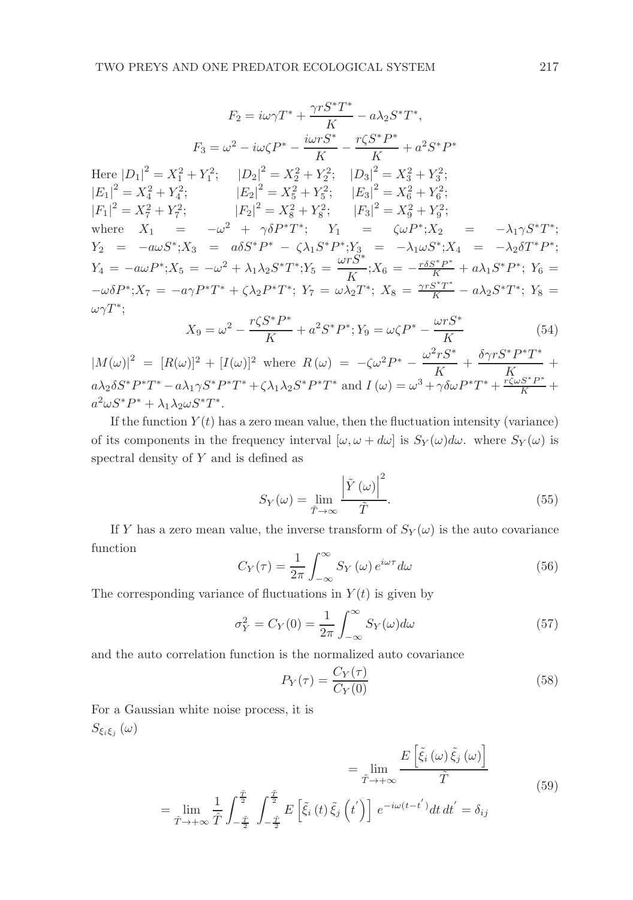$$
F_2 = i\omega\gamma T^* + \frac{\gamma r S^* T^*}{K} - a\lambda_2 S^* T^*,
$$
  
\n
$$
F_3 = \omega^2 - i\omega\zeta P^* - \frac{i\omega r S^*}{K} - \frac{r\zeta S^* P^*}{K} + a^2 S^* P^*
$$
  
\nHere  $|D_1|^2 = X_1^2 + Y_1^2$ ;  $|D_2|^2 = X_2^2 + Y_2^2$ ;  $|D_3|^2 = X_3^2 + Y_3^2$ ;  
\n $|E_1|^2 = X_4^2 + Y_4^2$ ;  $|E_2|^2 = X_5^2 + Y_5^2$ ;  $|E_3|^2 = X_6^2 + Y_6^2$ ;  
\n $|F_1|^2 = X_7^2 + Y_7^2$ ;  $|F_2|^2 = X_8^2 + Y_8^2$ ;  $|F_3|^2 = X_9^2 + Y_9^2$ ;  
\nwhere  $X_1 = -\omega^2 + \gamma \delta P^* T^*$ ;  $Y_1 = \zeta \omega P^* ; X_2 = -\lambda_1 \gamma S^* T^*$ ;  
\n $Y_2 = -a\omega S^* ; X_3 = a\delta S^* P^* - \zeta \lambda_1 S^* P^* ; Y_3 = -\lambda_1 \omega S^* ; X_4 = -\lambda_2 \delta T^* P^*$ ;  
\n $Y_4 = -a\omega P^* ; X_5 = -\omega^2 + \lambda_1 \lambda_2 S^* T^* ; Y_5 = \frac{\omega r S^*}{K} ; X_6 = -\frac{r \delta S^* P^*}{K} + a\lambda_1 S^* P^* ; Y_6 = -\omega \delta P^* ; X_7 = -a\gamma P^* T^* + \zeta \lambda_2 P^* T^* ; Y_7 = \omega \lambda_2 T^* ; X_8 = \frac{\gamma r S^* T^*}{K} - a\lambda_2 S^* T^* ; Y_8 = \omega \gamma T^*$ ;  $\gamma = \gamma S^* P^* = 2\zeta r S^* P^* = 2\zeta r S^* Y$ 

$$
X_9 = \omega^2 - \frac{r\zeta S^* P^*}{K} + a^2 S^* P^*; Y_9 = \omega \zeta P^* - \frac{\omega r S^*}{K}
$$
(54)

 $|M(\omega)|^2 = [R(\omega)]^2 + [I(\omega)]^2$  where  $R(\omega) = -\zeta \omega^2 P^* - \frac{\omega^2 r S^*}{K}$  $\frac{\delta \gamma r S^* P^* T^*}{K}$  $\frac{1}{K}$  +  $a\lambda_2 \delta S^* P^* T^* - a\lambda_1 \gamma S^* P^* T^* + \zeta \lambda_1 \lambda_2 S^* P^* T^*$  and  $I(\omega) = \omega^3 + \gamma \delta \omega P^* T^* + \frac{r \zeta \omega S^* P^*}{K} +$  $a^2 \omega S^* P^* + \lambda_1 \lambda_2 \omega S^* T^*.$ 

If the function  $Y(t)$  has a zero mean value, then the fluctuation intensity (variance) of its components in the frequency interval  $[\omega, \omega + d\omega]$  is  $S_Y(\omega) d\omega$ . where  $S_Y(\omega)$  is spectral density of Y and is defined as

$$
S_Y(\omega) = \lim_{\tilde{T} \to \infty} \frac{\left| \tilde{Y}(\omega) \right|^2}{\tilde{T}}.
$$
\n(55)

If Y has a zero mean value, the inverse transform of  $S_Y(\omega)$  is the auto covariance function

$$
C_Y(\tau) = \frac{1}{2\pi} \int_{-\infty}^{\infty} S_Y(\omega) e^{i\omega \tau} d\omega
$$
 (56)

The corresponding variance of fluctuations in  $Y(t)$  is given by

$$
\sigma_Y^2 = C_Y(0) = \frac{1}{2\pi} \int_{-\infty}^{\infty} S_Y(\omega) d\omega \tag{57}
$$

and the auto correlation function is the normalized auto covariance

$$
P_Y(\tau) = \frac{C_Y(\tau)}{C_Y(0)}\tag{58}
$$

For a Gaussian white noise process, it is  $S_{\xi_i \xi_j} \left( \omega \right)$ 

$$
= \lim_{\tilde{T} \to +\infty} \frac{E\left[\tilde{\xi}_i\left(\omega\right)\tilde{\xi}_j\left(\omega\right)\right]}{\tilde{T}} \tag{59}
$$

$$
= \lim_{\hat{T}\to+\infty} \frac{1}{\hat{T}} \int_{-\frac{\tilde{T}}{2}}^{\frac{\tilde{T}}{2}} \int_{-\frac{\tilde{T}}{2}}^{\frac{\tilde{T}}{2}} E\left[\tilde{\xi}_i\left(t\right) \tilde{\xi}_j\left(t'\right)\right] e^{-i\omega(t-t')} dt dt' = \delta_{ij}
$$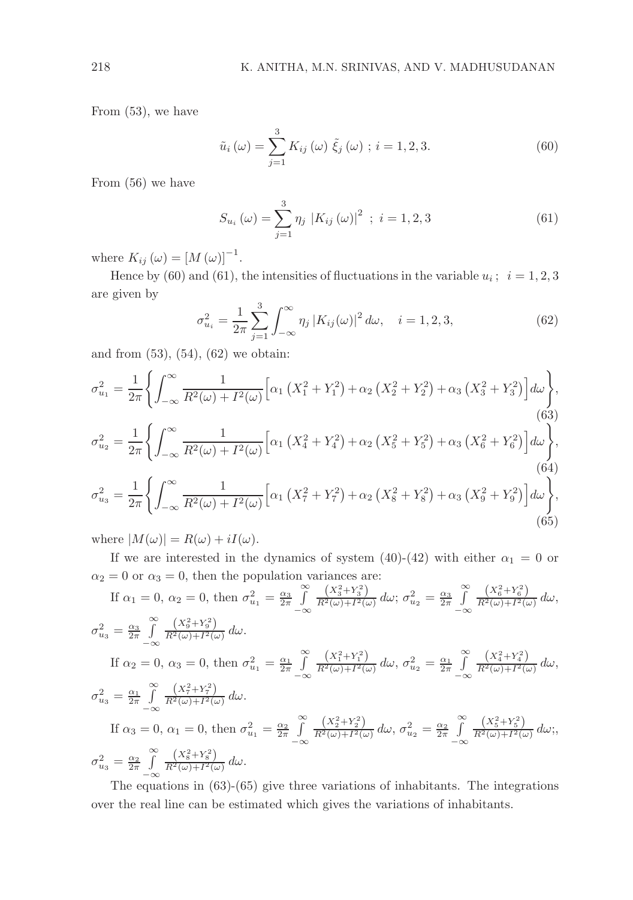From (53), we have

$$
\tilde{u}_{i}(\omega) = \sum_{j=1}^{3} K_{ij}(\omega) \tilde{\xi}_{j}(\omega) ; i = 1, 2, 3.
$$
 (60)

From (56) we have

$$
S_{u_i}(\omega) = \sum_{j=1}^{3} \eta_j \, |K_{ij}(\omega)|^2 \; ; \; i = 1, 2, 3 \tag{61}
$$

where  $K_{ij}(\omega) = [M(\omega)]^{-1}$ .

Hence by (60) and (61), the intensities of fluctuations in the variable  $u_i$ ;  $i = 1, 2, 3$ are given by

$$
\sigma_{u_i}^2 = \frac{1}{2\pi} \sum_{j=1}^3 \int_{-\infty}^{\infty} \eta_j \left| K_{ij}(\omega) \right|^2 d\omega, \quad i = 1, 2, 3,
$$
\n(62)

and from (53), (54), (62) we obtain:

$$
\sigma_{u_1}^2 = \frac{1}{2\pi} \Biggl\{ \int_{-\infty}^{\infty} \frac{1}{R^2(\omega) + I^2(\omega)} \Biggl[ \alpha_1 \left( X_1^2 + Y_1^2 \right) + \alpha_2 \left( X_2^2 + Y_2^2 \right) + \alpha_3 \left( X_3^2 + Y_3^2 \right) \Biggr] d\omega \Biggr\},\tag{63}
$$
\n
$$
\sigma_{u_2}^2 = \frac{1}{2\pi} \Biggl\{ \int_{-\infty}^{\infty} \frac{1}{R^2(\omega) + I^2(\omega)} \Biggl[ \alpha_1 \left( X_4^2 + Y_4^2 \right) + \alpha_2 \left( X_5^2 + Y_5^2 \right) + \alpha_3 \left( X_6^2 + Y_6^2 \right) \Biggr] d\omega \Biggr\},\tag{64}
$$
\n
$$
\sigma_{u_3}^2 = \frac{1}{2\pi} \Biggl\{ \int_{-\infty}^{\infty} \frac{1}{R^2(\omega) + I^2(\omega)} \Biggl[ \alpha_1 \left( X_7^2 + Y_7^2 \right) + \alpha_2 \left( X_8^2 + Y_8^2 \right) + \alpha_3 \left( X_9^2 + Y_9^2 \right) \Biggr] d\omega \Biggr\},\tag{65}
$$

where  $|M(\omega)| = R(\omega) + iI(\omega)$ .

If we are interested in the dynamics of system (40)-(42) with either  $\alpha_1 = 0$  or  $\alpha_2 = 0$  or  $\alpha_3 = 0$ , then the population variances are:

If 
$$
\alpha_1 = 0
$$
,  $\alpha_2 = 0$ , then  $\sigma_{u_1}^2 = \frac{\alpha_3}{2\pi} \int_{-\infty}^{\infty} \frac{(X_3^2 + Y_3^2)}{R^2(\omega) + I^2(\omega)} d\omega$ ;  $\sigma_{u_2}^2 = \frac{\alpha_3}{2\pi} \int_{-\infty}^{\infty} \frac{(X_6^2 + Y_6^2)}{R^2(\omega) + I^2(\omega)} d\omega$ ,  
\n $\sigma_{u_3}^2 = \frac{\alpha_3}{2\pi} \int_{-\infty}^{\infty} \frac{(X_9^2 + Y_9^2)}{R^2(\omega) + I^2(\omega)} d\omega$ .  
\nIf  $\alpha_2 = 0$ ,  $\alpha_3 = 0$ , then  $\sigma_{u_1}^2 = \frac{\alpha_1}{2\pi} \int_{-\infty}^{\infty} \frac{(X_1^2 + Y_1^2)}{R^2(\omega) + I^2(\omega)} d\omega$ ,  $\sigma_{u_2}^2 = \frac{\alpha_1}{2\pi} \int_{-\infty}^{\infty} \frac{(X_4^2 + Y_4^2)}{R^2(\omega) + I^2(\omega)} d\omega$ ,  
\n $\sigma_{u_3}^2 = \frac{\alpha_1}{2\pi} \int_{-\infty}^{\infty} \frac{(X_7^2 + Y_7^2)}{R^2(\omega) + I^2(\omega)} d\omega$ .  
\nIf  $\alpha_3 = 0$ ,  $\alpha_1 = 0$ , then  $\sigma_{u_1}^2 = \frac{\alpha_2}{2\pi} \int_{-\infty}^{\infty} \frac{(X_2^2 + Y_2^2)}{R^2(\omega) + I^2(\omega)} d\omega$ ,  $\sigma_{u_2}^2 = \frac{\alpha_2}{2\pi} \int_{-\infty}^{\infty} \frac{(X_5^2 + Y_5^2)}{R^2(\omega) + I^2(\omega)} d\omega$ ;  
\n $\sigma_{u_3}^2 = \frac{\alpha_2}{2\pi} \int_{-\infty}^{\infty} \frac{(X_8^2 + Y_8^2)}{R^2(\omega) + I^2(\omega)} d\omega$ .

The equations in (63)-(65) give three variations of inhabitants. The integrations over the real line can be estimated which gives the variations of inhabitants.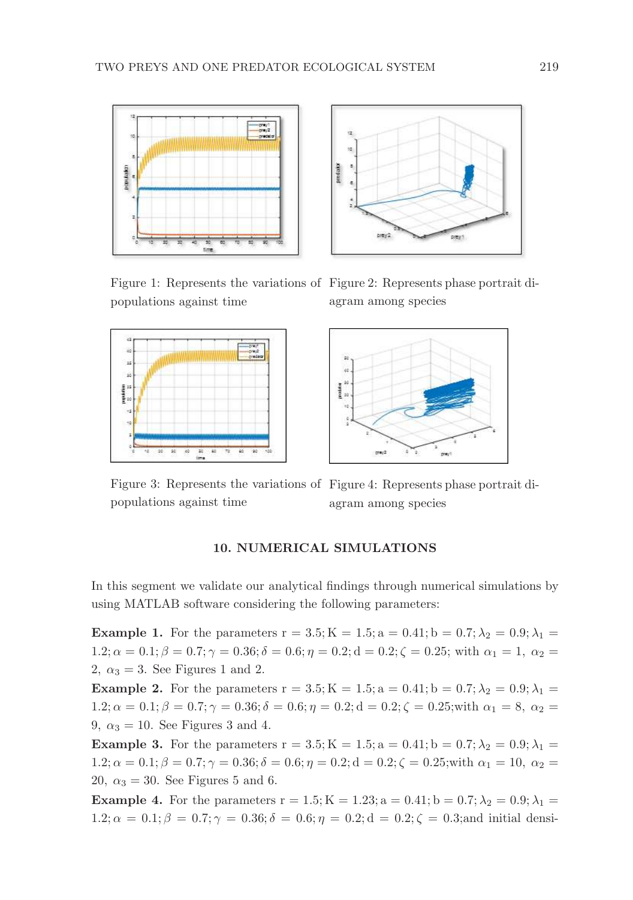



Figure 1: Represents the variations of Figure 2: Represents phase portrait dipopulations against time







Figure 3: Represents the variations of Figure 4: Represents phase portrait dipopulations against time agram among species

# 10. NUMERICAL SIMULATIONS

In this segment we validate our analytical findings through numerical simulations by using MATLAB software considering the following parameters:

**Example 1.** For the parameters  $r = 3.5$ ;  $K = 1.5$ ;  $a = 0.41$ ;  $b = 0.7$ ;  $\lambda_2 = 0.9$ ;  $\lambda_1 =$  $1.2; \alpha = 0.1; \beta = 0.7; \gamma = 0.36; \delta = 0.6; \eta = 0.2; d = 0.2; \zeta = 0.25;$  with  $\alpha_1 = 1, \alpha_2 =$ 2,  $\alpha_3 = 3$ . See Figures 1 and 2.

**Example 2.** For the parameters  $r = 3.5$ ;  $K = 1.5$ ;  $a = 0.41$ ;  $b = 0.7$ ;  $\lambda_2 = 0.9$ ;  $\lambda_1 =$  $1.2; \alpha = 0.1; \beta = 0.7; \gamma = 0.36; \delta = 0.6; \eta = 0.2; d = 0.2; \zeta = 0.25; \text{with } \alpha_1 = 8, \alpha_2 =$ 9,  $\alpha_3 = 10$ . See Figures 3 and 4.

**Example 3.** For the parameters  $r = 3.5$ ;  $K = 1.5$ ;  $a = 0.41$ ;  $b = 0.7$ ;  $\lambda_2 = 0.9$ ;  $\lambda_1 =$  $1.2; \alpha = 0.1; \beta = 0.7; \gamma = 0.36; \delta = 0.6; \eta = 0.2; d = 0.2; \zeta = 0.25;$  with  $\alpha_1 = 10, \alpha_2 =$ 20,  $\alpha_3 = 30$ . See Figures 5 and 6.

**Example 4.** For the parameters  $r = 1.5$ ; K = 1.23; a = 0.41; b = 0.7;  $\lambda_2 = 0.9$ ;  $\lambda_1 =$  $1.2; \alpha = 0.1; \beta = 0.7; \gamma = 0.36; \delta = 0.6; \eta = 0.2; d = 0.2; \zeta = 0.3;$  and initial densi-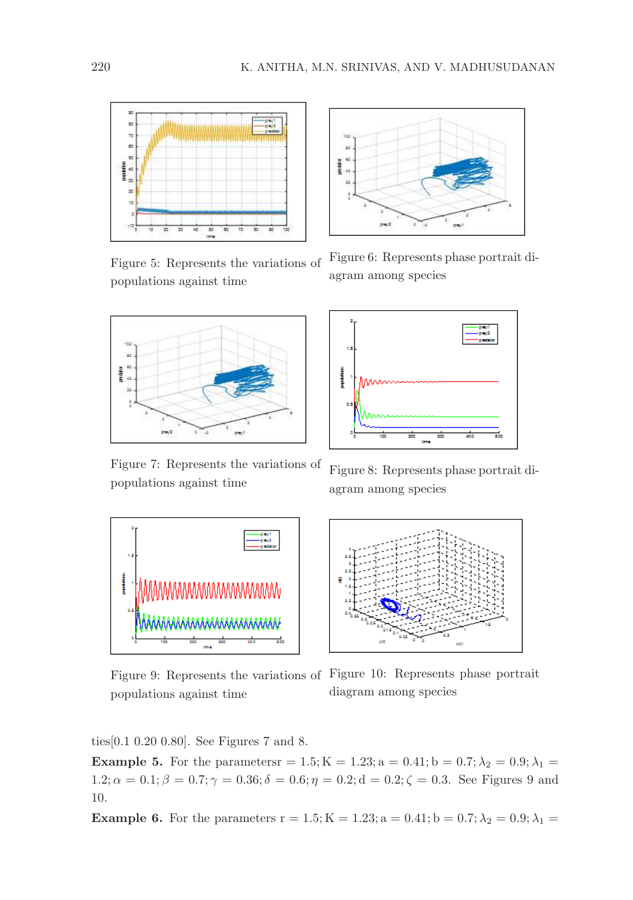

Figure 5: Represents the variations of populations against time



Figure 7: Represents the variations of populations against time



Figure 6: Represents phase portrait diagram among species



Figure 8: Represents phase portrait diagram among species



populations against time



ties[0.1 0.20 0.80]. See Figures 7 and 8.

**Example 5.** For the parameters = 1.5; K = 1.23; a = 0.41; b = 0.7;  $\lambda_2 = 0.9; \lambda_1 =$  $1.2; \alpha = 0.1; \beta = 0.7; \gamma = 0.36; \delta = 0.6; \eta = 0.2; d = 0.2; \zeta = 0.3$ . See Figures 9 and 10.

Example 6. For the parameters  $r = 1.5; K = 1.23; a = 0.41; b = 0.7; \lambda_2 = 0.9; \lambda_1 =$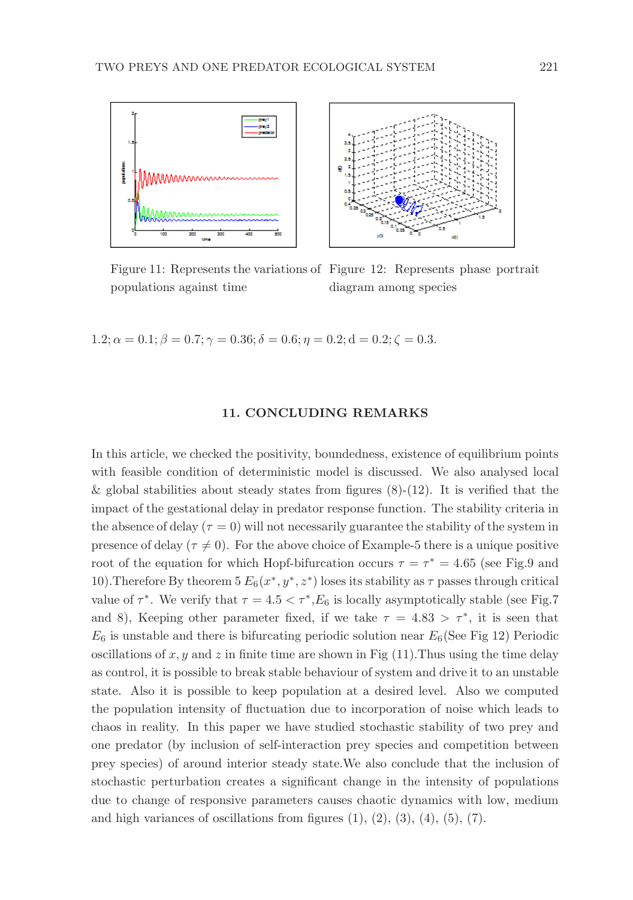

Figure 11: Represents the variations of Figure 12: Represents phase portrait populations against time diagram among species

 $1.2; \alpha = 0.1; \beta = 0.7; \gamma = 0.36; \delta = 0.6; \eta = 0.2; d = 0.2; \zeta = 0.3.$ 

## 11. CONCLUDING REMARKS

In this article, we checked the positivity, boundedness, existence of equilibrium points with feasible condition of deterministic model is discussed. We also analysed local & global stabilities about steady states from figures  $(8)-(12)$ . It is verified that the impact of the gestational delay in predator response function. The stability criteria in the absence of delay  $(\tau = 0)$  will not necessarily guarantee the stability of the system in presence of delay ( $\tau \neq 0$ ). For the above choice of Example-5 there is a unique positive root of the equation for which Hopf-bifurcation occurs  $\tau = \tau^* = 4.65$  (see Fig.9 and 10). Therefore By theorem  $5 E_6(x^*, y^*, z^*)$  loses its stability as  $\tau$  passes through critical value of  $\tau^*$ . We verify that  $\tau = 4.5 < \tau^*$ ,  $E_6$  is locally asymptotically stable (see Fig.7) and 8), Keeping other parameter fixed, if we take  $\tau = 4.83 > \tau^*$ , it is seen that  $E_6$  is unstable and there is bifurcating periodic solution near  $E_6$ (See Fig 12) Periodic oscillations of  $x, y$  and  $z$  in finite time are shown in Fig (11). Thus using the time delay as control, it is possible to break stable behaviour of system and drive it to an unstable state. Also it is possible to keep population at a desired level. Also we computed the population intensity of fluctuation due to incorporation of noise which leads to chaos in reality. In this paper we have studied stochastic stability of two prey and one predator (by inclusion of self-interaction prey species and competition between prey species) of around interior steady state.We also conclude that the inclusion of stochastic perturbation creates a significant change in the intensity of populations due to change of responsive parameters causes chaotic dynamics with low, medium and high variances of oscillations from figures  $(1)$ ,  $(2)$ ,  $(3)$ ,  $(4)$ ,  $(5)$ ,  $(7)$ .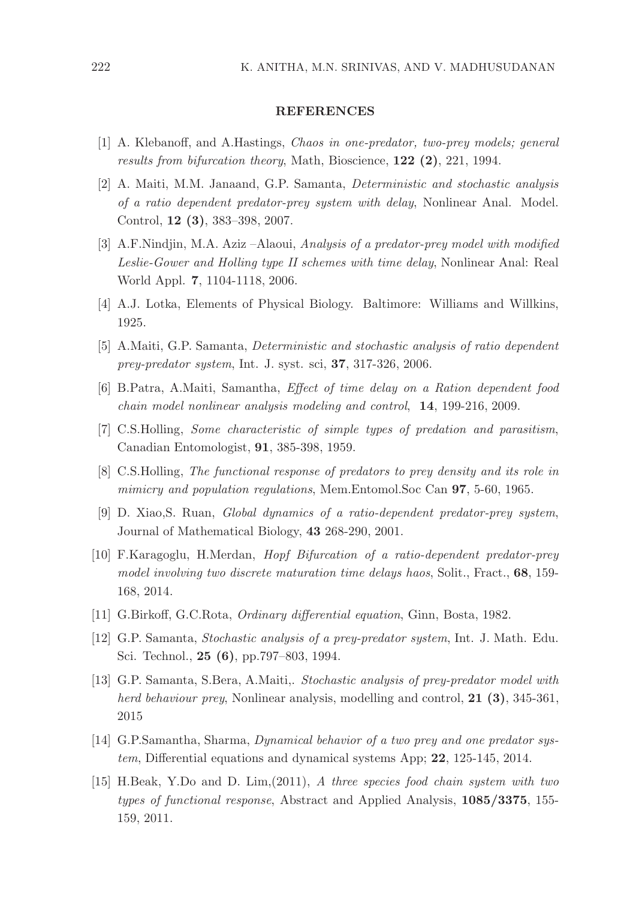#### REFERENCES

- [1] A. Klebanoff, and A.Hastings, Chaos in one-predator, two-prey models; general results from bifurcation theory, Math, Bioscience, 122 (2), 221, 1994.
- [2] A. Maiti, M.M. Janaand, G.P. Samanta, Deterministic and stochastic analysis of a ratio dependent predator-prey system with delay, Nonlinear Anal. Model. Control, 12 (3), 383–398, 2007.
- [3] A.F.Nindjin, M.A. Aziz –Alaoui, Analysis of a predator-prey model with modified Leslie-Gower and Holling type II schemes with time delay, Nonlinear Anal: Real World Appl. 7, 1104-1118, 2006.
- [4] A.J. Lotka, Elements of Physical Biology. Baltimore: Williams and Willkins, 1925.
- [5] A.Maiti, G.P. Samanta, Deterministic and stochastic analysis of ratio dependent prey-predator system, Int. J. syst. sci, 37, 317-326, 2006.
- [6] B.Patra, A.Maiti, Samantha, Effect of time delay on a Ration dependent food chain model nonlinear analysis modeling and control, 14, 199-216, 2009.
- [7] C.S.Holling, Some characteristic of simple types of predation and parasitism, Canadian Entomologist, 91, 385-398, 1959.
- [8] C.S.Holling, The functional response of predators to prey density and its role in mimicry and population regulations, Mem.Entomol.Soc Can **97**, 5-60, 1965.
- [9] D. Xiao,S. Ruan, Global dynamics of a ratio-dependent predator-prey system, Journal of Mathematical Biology, 43 268-290, 2001.
- [10] F.Karagoglu, H.Merdan, Hopf Bifurcation of a ratio-dependent predator-prey model involving two discrete maturation time delays haos, Solit., Fract., 68, 159-168, 2014.
- [11] G.Birkoff, G.C.Rota, Ordinary differential equation, Ginn, Bosta, 1982.
- [12] G.P. Samanta, Stochastic analysis of a prey-predator system, Int. J. Math. Edu. Sci. Technol., 25 (6), pp.797–803, 1994.
- [13] G.P. Samanta, S.Bera, A.Maiti,. Stochastic analysis of prey-predator model with herd behaviour prey, Nonlinear analysis, modelling and control,  $21$  (3), 345-361, 2015
- [14] G.P.Samantha, Sharma, Dynamical behavior of a two prey and one predator system, Differential equations and dynamical systems App; 22, 125-145, 2014.
- [15] H.Beak, Y.Do and D. Lim,(2011), A three species food chain system with two types of functional response, Abstract and Applied Analysis, 1085/3375, 155- 159, 2011.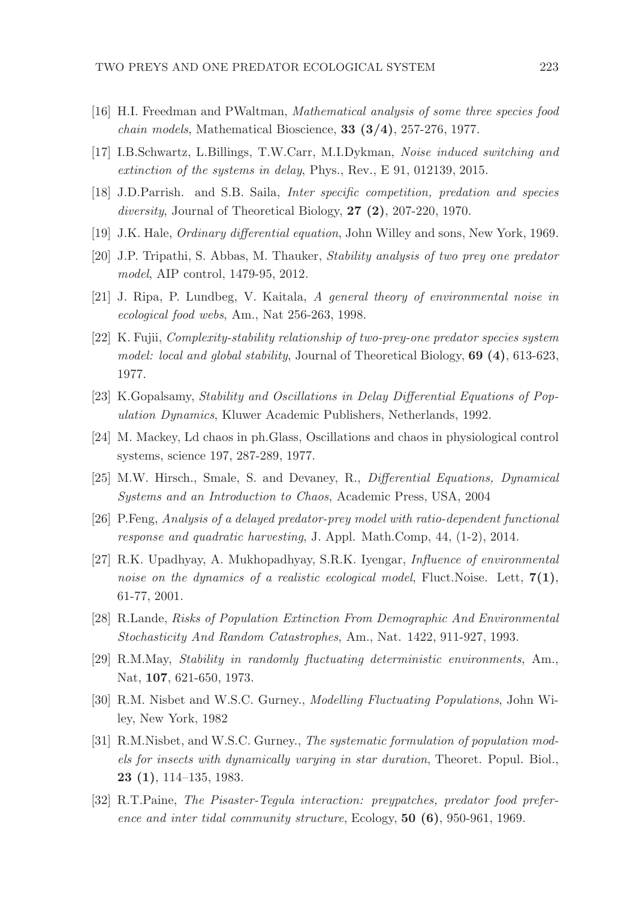- [16] H.I. Freedman and PWaltman, Mathematical analysis of some three species food  $chain$  models, Mathematical Bioscience, 33 (3/4), 257-276, 1977.
- [17] I.B.Schwartz, L.Billings, T.W.Carr, M.I.Dykman, Noise induced switching and extinction of the systems in delay, Phys., Rev., E 91, 012139, 2015.
- [18] J.D.Parrish. and S.B. Saila, Inter specific competition, predation and species diversity, Journal of Theoretical Biology, 27 (2), 207-220, 1970.
- [19] J.K. Hale, Ordinary differential equation, John Willey and sons, New York, 1969.
- [20] J.P. Tripathi, S. Abbas, M. Thauker, Stability analysis of two prey one predator model, AIP control, 1479-95, 2012.
- [21] J. Ripa, P. Lundbeg, V. Kaitala, A general theory of environmental noise in ecological food webs, Am., Nat 256-263, 1998.
- [22] K. Fujii, Complexity-stability relationship of two-prey-one predator species system model: local and global stability, Journal of Theoretical Biology, 69 (4), 613-623, 1977.
- [23] K.Gopalsamy, Stability and Oscillations in Delay Differential Equations of Population Dynamics, Kluwer Academic Publishers, Netherlands, 1992.
- [24] M. Mackey, Ld chaos in ph.Glass, Oscillations and chaos in physiological control systems, science 197, 287-289, 1977.
- [25] M.W. Hirsch., Smale, S. and Devaney, R., Differential Equations, Dynamical Systems and an Introduction to Chaos, Academic Press, USA, 2004
- [26] P.Feng, Analysis of a delayed predator-prey model with ratio-dependent functional response and quadratic harvesting, J. Appl. Math.Comp, 44, (1-2), 2014.
- [27] R.K. Upadhyay, A. Mukhopadhyay, S.R.K. Iyengar, Influence of environmental noise on the dynamics of a realistic ecological model, Fluct.Noise. Lett,  $7(1)$ , 61-77, 2001.
- [28] R.Lande, Risks of Population Extinction From Demographic And Environmental Stochasticity And Random Catastrophes, Am., Nat. 1422, 911-927, 1993.
- [29] R.M.May, Stability in randomly fluctuating deterministic environments, Am., Nat, 107, 621-650, 1973.
- [30] R.M. Nisbet and W.S.C. Gurney., Modelling Fluctuating Populations, John Wiley, New York, 1982
- [31] R.M.Nisbet, and W.S.C. Gurney., The systematic formulation of population models for insects with dynamically varying in star duration, Theoret. Popul. Biol., 23 (1), 114–135, 1983.
- [32] R.T.Paine, The Pisaster-Tegula interaction: preypatches, predator food preference and inter tidal community structure, Ecology, 50 (6), 950-961, 1969.